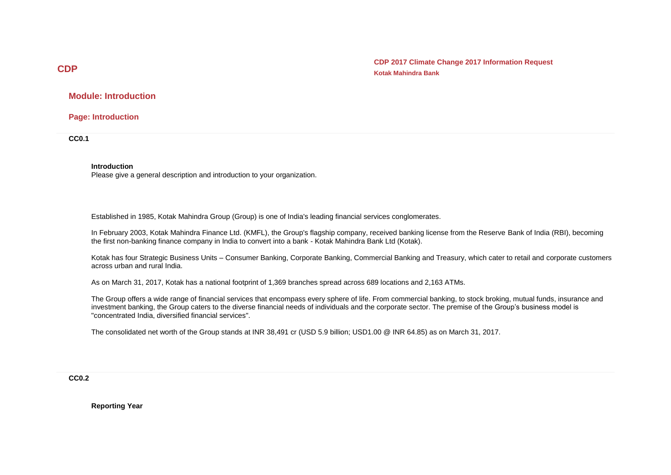**CDP 2017 Climate Change 2017 Information Request Kotak Mahindra Bank**

**Module: Introduction**

**Page: Introduction**

**CC0.1**

#### **Introduction**

Please give a general description and introduction to your organization.

Established in 1985, Kotak Mahindra Group (Group) is one of India's leading financial services conglomerates.

In February 2003, Kotak Mahindra Finance Ltd. (KMFL), the Group's flagship company, received banking license from the Reserve Bank of India (RBI), becoming the first non-banking finance company in India to convert into a bank - Kotak Mahindra Bank Ltd (Kotak).

Kotak has four Strategic Business Units – Consumer Banking, Corporate Banking, Commercial Banking and Treasury, which cater to retail and corporate customers across urban and rural India.

As on March 31, 2017, Kotak has a national footprint of 1,369 branches spread across 689 locations and 2,163 ATMs.

The Group offers a wide range of financial services that encompass every sphere of life. From commercial banking, to stock broking, mutual funds, insurance and investment banking, the Group caters to the diverse financial needs of individuals and the corporate sector. The premise of the Group's business model is "concentrated India, diversified financial services".

The consolidated net worth of the Group stands at INR 38,491 cr (USD 5.9 billion; USD1.00 @ INR 64.85) as on March 31, 2017.

**CC0.2**

**Reporting Year**

## **CDP**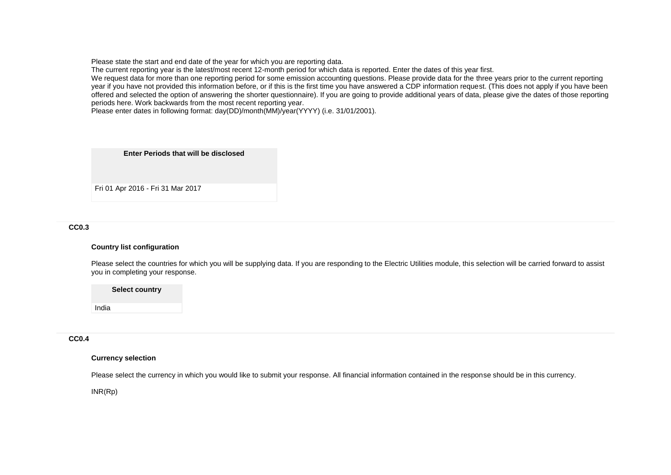Please state the start and end date of the year for which you are reporting data.

The current reporting year is the latest/most recent 12-month period for which data is reported. Enter the dates of this year first.

We request data for more than one reporting period for some emission accounting questions. Please provide data for the three years prior to the current reporting year if you have not provided this information before, or if this is the first time you have answered a CDP information request. (This does not apply if you have been offered and selected the option of answering the shorter questionnaire). If you are going to provide additional years of data, please give the dates of those reporting periods here. Work backwards from the most recent reporting year.

Please enter dates in following format: day(DD)/month(MM)/year(YYYY) (i.e. 31/01/2001).

**Enter Periods that will be disclosed**

Fri 01 Apr 2016 - Fri 31 Mar 2017

#### **CC0.3**

#### **Country list configuration**

Please select the countries for which you will be supplying data. If you are responding to the Electric Utilities module, this selection will be carried forward to assist you in completing your response.

**Select country**

**CC0.4**

India

## **Currency selection**

Please select the currency in which you would like to submit your response. All financial information contained in the response should be in this currency.

INR(Rp)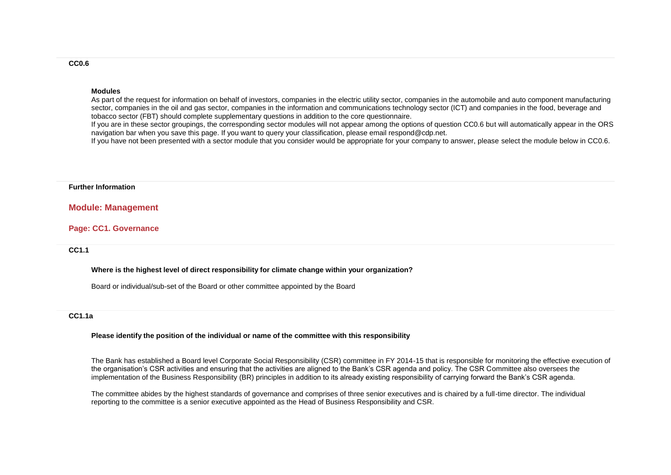#### **Modules**

As part of the request for information on behalf of investors, companies in the electric utility sector, companies in the automobile and auto component manufacturing sector, companies in the oil and gas sector, companies in the information and communications technology sector (ICT) and companies in the food, beverage and tobacco sector (FBT) should complete supplementary questions in addition to the core questionnaire.

If you are in these sector groupings, the corresponding sector modules will not appear among the options of question CC0.6 but will automatically appear in the ORS navigation bar when you save this page. If you want to query your classification, please email respond@cdp.net.

If you have not been presented with a sector module that you consider would be appropriate for your company to answer, please select the module below in CC0.6.

#### **Further Information**

#### **Module: Management**

#### **Page: CC1. Governance**

#### **CC1.1**

**Where is the highest level of direct responsibility for climate change within your organization?**

Board or individual/sub-set of the Board or other committee appointed by the Board

#### **CC1.1a**

#### **Please identify the position of the individual or name of the committee with this responsibility**

The Bank has established a Board level Corporate Social Responsibility (CSR) committee in FY 2014-15 that is responsible for monitoring the effective execution of the organisation's CSR activities and ensuring that the activities are aligned to the Bank's CSR agenda and policy. The CSR Committee also oversees the implementation of the Business Responsibility (BR) principles in addition to its already existing responsibility of carrying forward the Bank's CSR agenda.

The committee abides by the highest standards of governance and comprises of three senior executives and is chaired by a full-time director. The individual reporting to the committee is a senior executive appointed as the Head of Business Responsibility and CSR.

#### **CC0.6**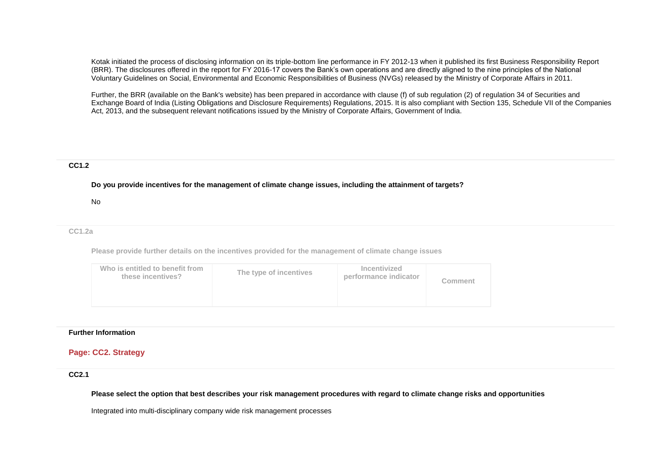Kotak initiated the process of disclosing information on its triple-bottom line performance in FY 2012-13 when it published its first Business Responsibility Report (BRR). The disclosures offered in the report for FY 2016-17 covers the Bank's own operations and are directly aligned to the nine principles of the National Voluntary Guidelines on Social, Environmental and Economic Responsibilities of Business (NVGs) released by the Ministry of Corporate Affairs in 2011.

Further, the BRR (available on the Bank's website) has been prepared in accordance with clause (f) of sub regulation (2) of regulation 34 of Securities and Exchange Board of India (Listing Obligations and Disclosure Requirements) Regulations, 2015. It is also compliant with Section 135, Schedule VII of the Companies Act, 2013, and the subsequent relevant notifications issued by the Ministry of Corporate Affairs, Government of India.

#### **CC1.2**

**Do you provide incentives for the management of climate change issues, including the attainment of targets?**

#### No

#### **CC1.2a**

**Please provide further details on the incentives provided for the management of climate change issues**

| Who is entitled to benefit from<br>The type of incentives<br>these incentives? | Incentivized<br>performance indicator | Comment |
|--------------------------------------------------------------------------------|---------------------------------------|---------|
|--------------------------------------------------------------------------------|---------------------------------------|---------|

#### **Further Information**

## **Page: CC2. Strategy**

#### **CC2.1**

**Please select the option that best describes your risk management procedures with regard to climate change risks and opportunities**

Integrated into multi-disciplinary company wide risk management processes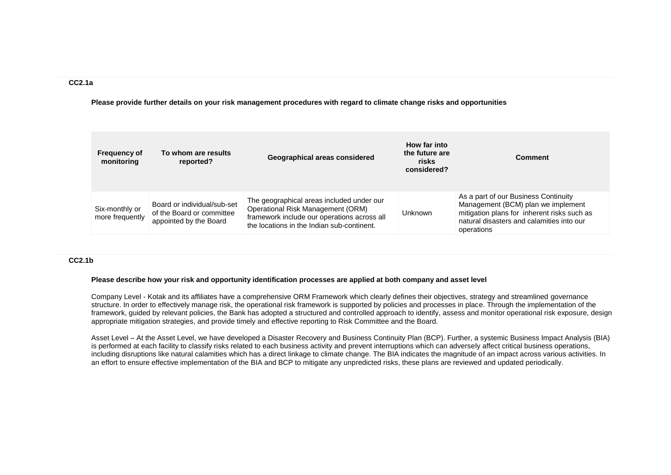#### **CC2.1a**

**Please provide further details on your risk management procedures with regard to climate change risks and opportunities**

| <b>Frequency of</b><br>monitoring | To whom are results<br>reported?                                                   | Geographical areas considered                                                                                                                                               | How far into<br>the future are<br>risks<br>considered? | <b>Comment</b>                                                                                                                                                                       |
|-----------------------------------|------------------------------------------------------------------------------------|-----------------------------------------------------------------------------------------------------------------------------------------------------------------------------|--------------------------------------------------------|--------------------------------------------------------------------------------------------------------------------------------------------------------------------------------------|
| Six-monthly or<br>more frequently | Board or individual/sub-set<br>of the Board or committee<br>appointed by the Board | The geographical areas included under our<br>Operational Risk Management (ORM)<br>framework include our operations across all<br>the locations in the Indian sub-continent. | <b>Unknown</b>                                         | As a part of our Business Continuity<br>Management (BCM) plan we implement<br>mitigation plans for inherent risks such as<br>natural disasters and calamities into our<br>operations |

#### **CC2.1b**

#### **Please describe how your risk and opportunity identification processes are applied at both company and asset level**

Company Level - Kotak and its affiliates have a comprehensive ORM Framework which clearly defines their objectives, strategy and streamlined governance structure. In order to effectively manage risk, the operational risk framework is supported by policies and processes in place. Through the implementation of the framework, guided by relevant policies, the Bank has adopted a structured and controlled approach to identify, assess and monitor operational risk exposure, design appropriate mitigation strategies, and provide timely and effective reporting to Risk Committee and the Board.

Asset Level – At the Asset Level, we have developed a Disaster Recovery and Business Continuity Plan (BCP). Further, a systemic Business Impact Analysis (BIA) is performed at each facility to classify risks related to each business activity and prevent interruptions which can adversely affect critical business operations, including disruptions like natural calamities which has a direct linkage to climate change. The BIA indicates the magnitude of an impact across various activities. In an effort to ensure effective implementation of the BIA and BCP to mitigate any unpredicted risks, these plans are reviewed and updated periodically.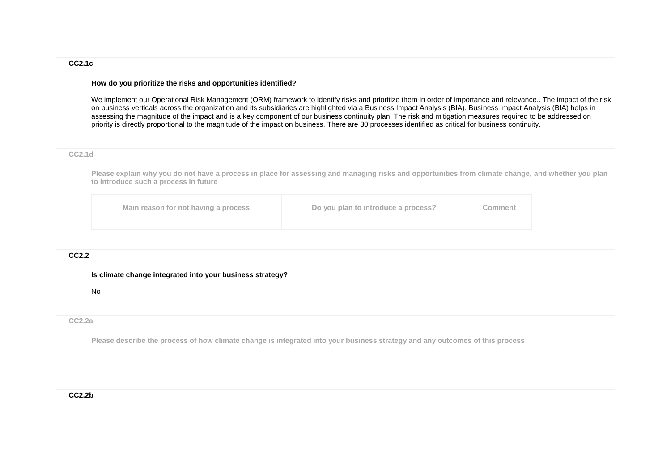## **CC2.1c**

#### **How do you prioritize the risks and opportunities identified?**

We implement our Operational Risk Management (ORM) framework to identify risks and prioritize them in order of importance and relevance.. The impact of the risk on business verticals across the organization and its subsidiaries are highlighted via a Business Impact Analysis (BIA). Business Impact Analysis (BIA) helps in assessing the magnitude of the impact and is a key component of our business continuity plan. The risk and mitigation measures required to be addressed on priority is directly proportional to the magnitude of the impact on business. There are 30 processes identified as critical for business continuity.

#### **CC2.1d**

**Please explain why you do not have a process in place for assessing and managing risks and opportunities from climate change, and whether you plan to introduce such a process in future**

| Main reason for not having a process<br>Do you plan to introduce a process?<br>Comment |
|----------------------------------------------------------------------------------------|
|----------------------------------------------------------------------------------------|

#### **CC2.2**

#### **Is climate change integrated into your business strategy?**

No

#### **CC2.2a**

**Please describe the process of how climate change is integrated into your business strategy and any outcomes of this process**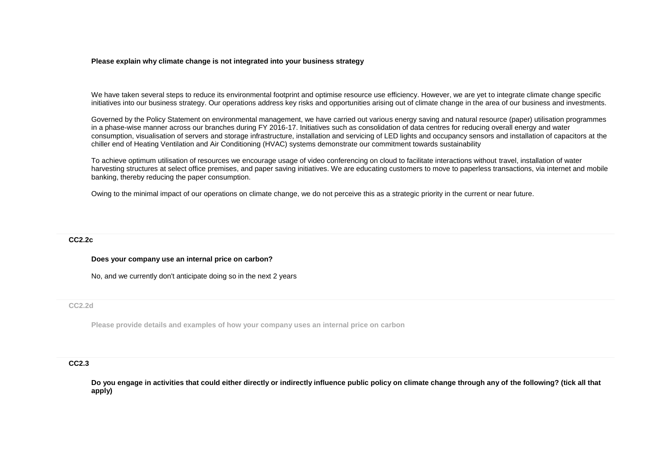#### **Please explain why climate change is not integrated into your business strategy**

We have taken several steps to reduce its environmental footprint and optimise resource use efficiency. However, we are yet to integrate climate change specific initiatives into our business strategy. Our operations address key risks and opportunities arising out of climate change in the area of our business and investments.

Governed by the Policy Statement on environmental management, we have carried out various energy saving and natural resource (paper) utilisation programmes in a phase-wise manner across our branches during FY 2016-17. Initiatives such as consolidation of data centres for reducing overall energy and water consumption, visualisation of servers and storage infrastructure, installation and servicing of LED lights and occupancy sensors and installation of capacitors at the chiller end of Heating Ventilation and Air Conditioning (HVAC) systems demonstrate our commitment towards sustainability

To achieve optimum utilisation of resources we encourage usage of video conferencing on cloud to facilitate interactions without travel, installation of water harvesting structures at select office premises, and paper saving initiatives. We are educating customers to move to paperless transactions, via internet and mobile banking, thereby reducing the paper consumption.

Owing to the minimal impact of our operations on climate change, we do not perceive this as a strategic priority in the current or near future.

#### **CC2.2c**

#### **Does your company use an internal price on carbon?**

No, and we currently don't anticipate doing so in the next 2 years

#### **CC2.2d**

**Please provide details and examples of how your company uses an internal price on carbon**

#### **CC2.3**

**Do you engage in activities that could either directly or indirectly influence public policy on climate change through any of the following? (tick all that apply)**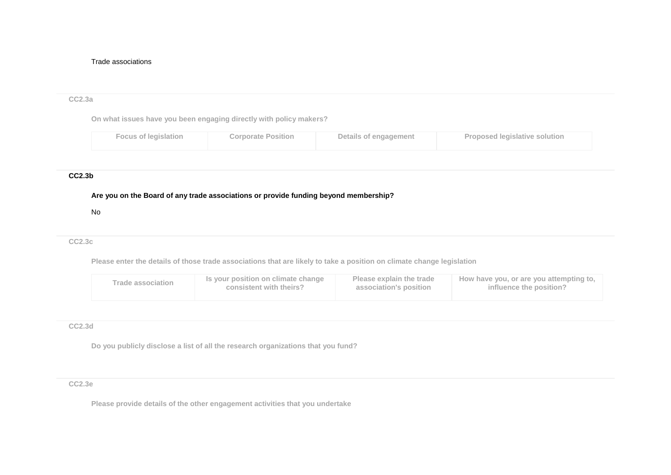#### Trade associations

# **CC2.3a On what issues have you been engaging directly with policy makers? Focus of legislation Corporate Position Details of engagement Proposed legislative solution CC2.3b Are you on the Board of any trade associations or provide funding beyond membership?** No

#### **CC2.3c**

**Please enter the details of those trade associations that are likely to take a position on climate change legislation**

| Is your position on climate change<br><b>Trade association</b><br>consistent with theirs? | Please explain the trade<br>association's position | How have you, or are you attempting to,<br>influence the position? |
|-------------------------------------------------------------------------------------------|----------------------------------------------------|--------------------------------------------------------------------|
|-------------------------------------------------------------------------------------------|----------------------------------------------------|--------------------------------------------------------------------|

#### **CC2.3d**

**Do you publicly disclose a list of all the research organizations that you fund?**

#### **CC2.3e**

**Please provide details of the other engagement activities that you undertake**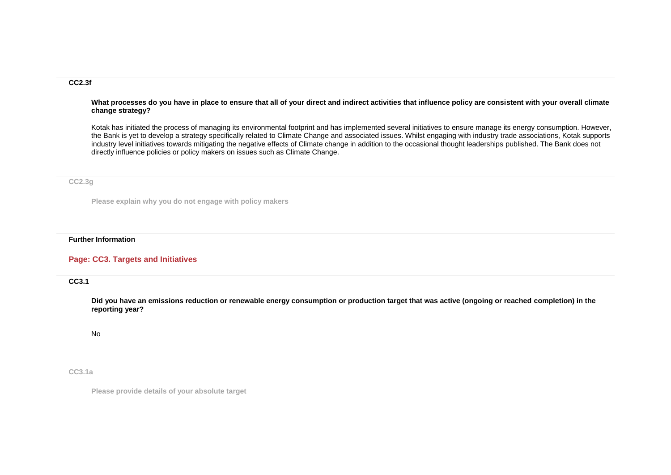#### **CC2.3f**

#### **What processes do you have in place to ensure that all of your direct and indirect activities that influence policy are consistent with your overall climate change strategy?**

Kotak has initiated the process of managing its environmental footprint and has implemented several initiatives to ensure manage its energy consumption. However, the Bank is yet to develop a strategy specifically related to Climate Change and associated issues. Whilst engaging with industry trade associations, Kotak supports industry level initiatives towards mitigating the negative effects of Climate change in addition to the occasional thought leaderships published. The Bank does not directly influence policies or policy makers on issues such as Climate Change.

#### **CC2.3g**

**Please explain why you do not engage with policy makers**

#### **Further Information**

## **Page: CC3. Targets and Initiatives**

**CC3.1**

**Did you have an emissions reduction or renewable energy consumption or production target that was active (ongoing or reached completion) in the reporting year?**

No

**CC3.1a**

**Please provide details of your absolute target**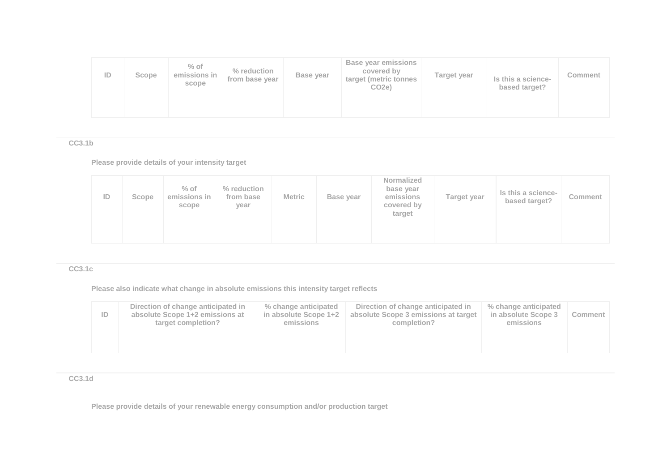| ID | Scope | $%$ of<br>emissions in<br>scope | % reduction<br>from base year | Base year | <b>Base year emissions</b><br>covered by<br>target (metric tonnes<br>CO <sub>2</sub> e) | Target year | Is this a science-<br>based target? | <b>Comment</b> |
|----|-------|---------------------------------|-------------------------------|-----------|-----------------------------------------------------------------------------------------|-------------|-------------------------------------|----------------|
|----|-------|---------------------------------|-------------------------------|-----------|-----------------------------------------------------------------------------------------|-------------|-------------------------------------|----------------|

**CC3.1b**

**Please provide details of your intensity target**

| ID | Scope | $%$ of<br>emissions in<br>scope | % reduction<br>from base<br>year | <b>Metric</b> | Base year | Normalized<br>base year<br>emissions<br>covered by<br>target | Target year | Is this a science-<br>based target? | Comment |
|----|-------|---------------------------------|----------------------------------|---------------|-----------|--------------------------------------------------------------|-------------|-------------------------------------|---------|
|----|-------|---------------------------------|----------------------------------|---------------|-----------|--------------------------------------------------------------|-------------|-------------------------------------|---------|

## **CC3.1c**

**Please also indicate what change in absolute emissions this intensity target reflects**

**CC3.1d**

**Please provide details of your renewable energy consumption and/or production target**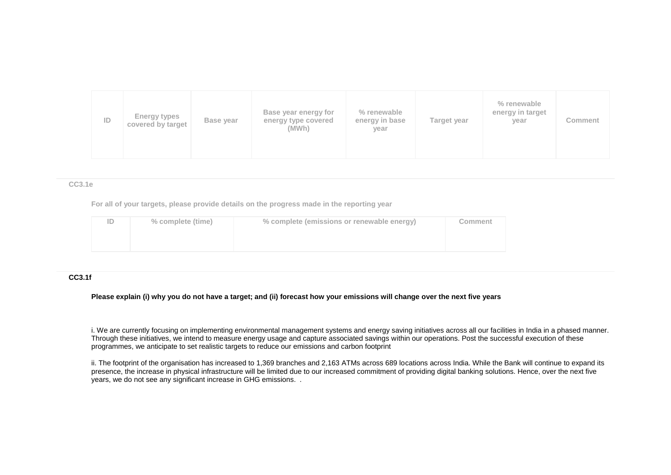| ID | <b>Energy types</b><br>covered by target | Base year | Base year energy for<br>energy type covered<br>(MWh) | % renewable<br>energy in base<br>year | Target year | % renewable<br>energy in target<br>year | Comment |
|----|------------------------------------------|-----------|------------------------------------------------------|---------------------------------------|-------------|-----------------------------------------|---------|
|----|------------------------------------------|-----------|------------------------------------------------------|---------------------------------------|-------------|-----------------------------------------|---------|

#### **CC3.1e**

**For all of your targets, please provide details on the progress made in the reporting year**

| ID | % complete (time) | % complete (emissions or renewable energy) | Comment |
|----|-------------------|--------------------------------------------|---------|
|    |                   |                                            |         |
|    |                   |                                            |         |

#### **CC3.1f**

**Please explain (i) why you do not have a target; and (ii) forecast how your emissions will change over the next five years**

i. We are currently focusing on implementing environmental management systems and energy saving initiatives across all our facilities in India in a phased manner. Through these initiatives, we intend to measure energy usage and capture associated savings within our operations. Post the successful execution of these programmes, we anticipate to set realistic targets to reduce our emissions and carbon footprint

ii. The footprint of the organisation has increased to 1,369 branches and 2,163 ATMs across 689 locations across India. While the Bank will continue to expand its presence, the increase in physical infrastructure will be limited due to our increased commitment of providing digital banking solutions. Hence, over the next five years, we do not see any significant increase in GHG emissions. .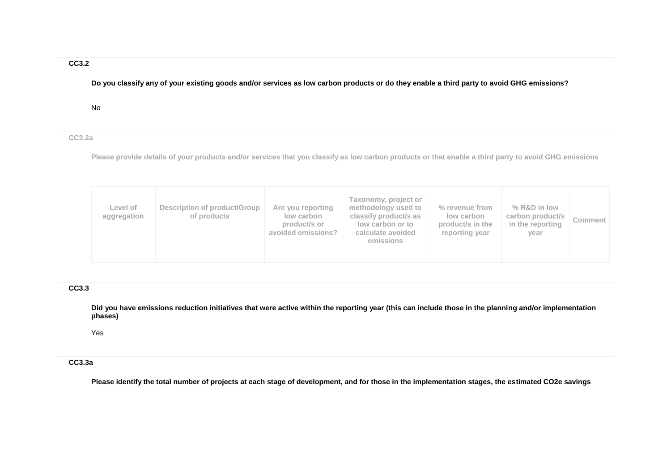## **CC3.2**

**Do you classify any of your existing goods and/or services as low carbon products or do they enable a third party to avoid GHG emissions?**

No

#### **CC3.2a**

**Please provide details of your products and/or services that you classify as low carbon products or that enable a third party to avoid GHG emissions**

| Level of<br>aggregation | Description of product/Group<br>of products | Are you reporting<br>low carbon<br>product/s or<br>avoided emissions? | Taxonomy, project or<br>methodology used to<br>classify product/s as<br>low carbon or to<br>calculate avoided<br>emissions | % revenue from<br>low carbon<br>product/s in the<br>reporting year | % R&D in low<br>carbon product/s<br>in the reporting<br>year | <b>Comment</b> |
|-------------------------|---------------------------------------------|-----------------------------------------------------------------------|----------------------------------------------------------------------------------------------------------------------------|--------------------------------------------------------------------|--------------------------------------------------------------|----------------|
|-------------------------|---------------------------------------------|-----------------------------------------------------------------------|----------------------------------------------------------------------------------------------------------------------------|--------------------------------------------------------------------|--------------------------------------------------------------|----------------|

## **CC3.3**

**Did you have emissions reduction initiatives that were active within the reporting year (this can include those in the planning and/or implementation phases)**

Yes

## **CC3.3a**

**Please identify the total number of projects at each stage of development, and for those in the implementation stages, the estimated CO2e savings**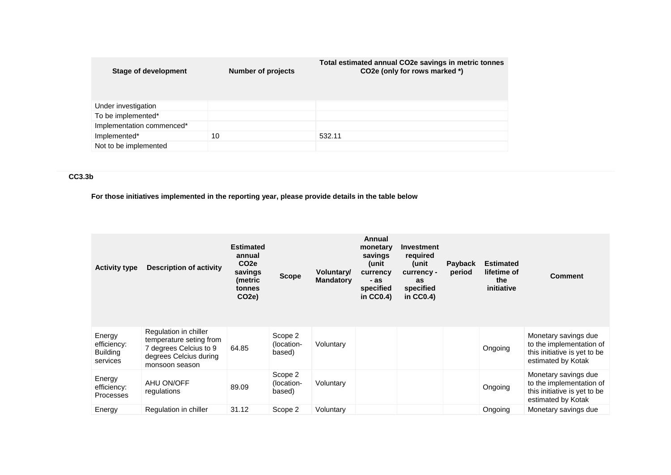| <b>Stage of development</b> | <b>Number of projects</b> | Total estimated annual CO2e savings in metric tonnes<br>CO2e (only for rows marked *) |
|-----------------------------|---------------------------|---------------------------------------------------------------------------------------|
| Under investigation         |                           |                                                                                       |
| To be implemented*          |                           |                                                                                       |
| Implementation commenced*   |                           |                                                                                       |
| Implemented*                | 10                        | 532.11                                                                                |
| Not to be implemented       |                           |                                                                                       |

## **CC3.3b**

**For those initiatives implemented in the reporting year, please provide details in the table below**

| <b>Activity type</b>                                 | <b>Description of activity</b>                                                                                         | <b>Estimated</b><br>annual<br>CO <sub>2</sub> e<br>savings<br>(metric<br>tonnes<br>CO <sub>2</sub> e) | <b>Scope</b>                    | Voluntary/<br><b>Mandatory</b> | Annual<br>monetary<br>savings<br>(unit<br>currency<br>- as<br>specified<br>in $CC0.4$ ) | <b>Investment</b><br>required<br>unit)<br>currency -<br>as<br>specified<br>in $CC0.4$ ) | <b>Payback</b><br>period | <b>Estimated</b><br>lifetime of<br>the<br>initiative | <b>Comment</b>                                                                                         |
|------------------------------------------------------|------------------------------------------------------------------------------------------------------------------------|-------------------------------------------------------------------------------------------------------|---------------------------------|--------------------------------|-----------------------------------------------------------------------------------------|-----------------------------------------------------------------------------------------|--------------------------|------------------------------------------------------|--------------------------------------------------------------------------------------------------------|
| Energy<br>efficiency:<br><b>Building</b><br>services | Regulation in chiller<br>temperature seting from<br>7 degrees Celcius to 9<br>degrees Celcius during<br>monsoon season | 64.85                                                                                                 | Scope 2<br>(location-<br>based) | Voluntary                      |                                                                                         |                                                                                         |                          | Ongoing                                              | Monetary savings due<br>to the implementation of<br>this initiative is yet to be<br>estimated by Kotak |
| Energy<br>efficiency:<br><b>Processes</b>            | AHU ON/OFF<br>regulations                                                                                              | 89.09                                                                                                 | Scope 2<br>(location-<br>based) | Voluntary                      |                                                                                         |                                                                                         |                          | Ongoing                                              | Monetary savings due<br>to the implementation of<br>this initiative is yet to be<br>estimated by Kotak |
| Energy                                               | Regulation in chiller                                                                                                  | 31.12                                                                                                 | Scope 2                         | Voluntary                      |                                                                                         |                                                                                         |                          | Ongoing                                              | Monetary savings due                                                                                   |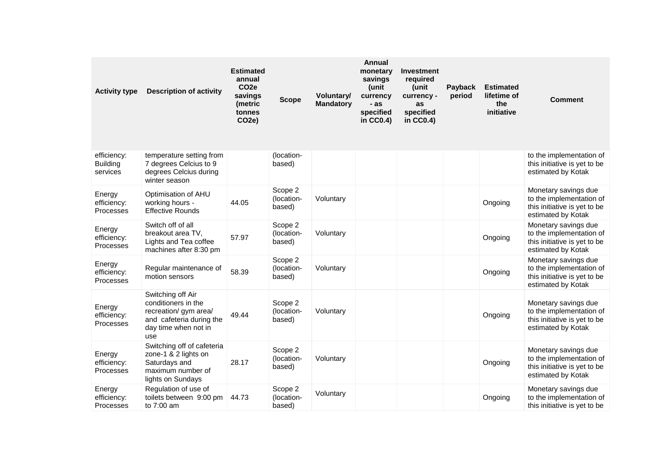| <b>Activity type</b>                       | <b>Description of activity</b>                                                                                               | <b>Estimated</b><br>annual<br>CO <sub>2e</sub><br>savings<br>(metric<br>tonnes<br>CO <sub>2e</sub> ) | <b>Scope</b>                    | Voluntary/<br><b>Mandatory</b> | <b>Annual</b><br>monetary<br>savings<br>(unit<br>currency<br>- as<br>specified<br>in CC0.4) | <b>Investment</b><br>required<br>(unit<br>currency -<br>as<br>specified<br>in $CC0.4$ ) | <b>Payback</b><br>period | <b>Estimated</b><br>lifetime of<br>the<br>initiative | <b>Comment</b>                                                                                         |
|--------------------------------------------|------------------------------------------------------------------------------------------------------------------------------|------------------------------------------------------------------------------------------------------|---------------------------------|--------------------------------|---------------------------------------------------------------------------------------------|-----------------------------------------------------------------------------------------|--------------------------|------------------------------------------------------|--------------------------------------------------------------------------------------------------------|
| efficiency:<br><b>Building</b><br>services | temperature setting from<br>7 degrees Celcius to 9<br>degrees Celcius during<br>winter season                                |                                                                                                      | (location-<br>based)            |                                |                                                                                             |                                                                                         |                          |                                                      | to the implementation of<br>this initiative is yet to be<br>estimated by Kotak                         |
| Energy<br>efficiency:<br>Processes         | Optimisation of AHU<br>working hours -<br><b>Effective Rounds</b>                                                            | 44.05                                                                                                | Scope 2<br>(location-<br>based) | Voluntary                      |                                                                                             |                                                                                         |                          | Ongoing                                              | Monetary savings due<br>to the implementation of<br>this initiative is yet to be<br>estimated by Kotak |
| Energy<br>efficiency:<br>Processes         | Switch off of all<br>breakout area TV,<br>Lights and Tea coffee<br>machines after 8:30 pm                                    | 57.97                                                                                                | Scope 2<br>(location-<br>based) | Voluntary                      |                                                                                             |                                                                                         |                          | Ongoing                                              | Monetary savings due<br>to the implementation of<br>this initiative is yet to be<br>estimated by Kotak |
| Energy<br>efficiency:<br>Processes         | Regular maintenance of<br>motion sensors                                                                                     | 58.39                                                                                                | Scope 2<br>(location-<br>based) | Voluntary                      |                                                                                             |                                                                                         |                          | Ongoing                                              | Monetary savings due<br>to the implementation of<br>this initiative is yet to be<br>estimated by Kotak |
| Energy<br>efficiency:<br>Processes         | Switching off Air<br>conditioners in the<br>recreation/ gym area/<br>and cafeteria during the<br>day time when not in<br>use | 49.44                                                                                                | Scope 2<br>(location-<br>based) | Voluntary                      |                                                                                             |                                                                                         |                          | Ongoing                                              | Monetary savings due<br>to the implementation of<br>this initiative is yet to be<br>estimated by Kotak |
| Energy<br>efficiency:<br>Processes         | Switching off of cafeteria<br>zone-1 & 2 lights on<br>Saturdays and<br>maximum number of<br>lights on Sundays                | 28.17                                                                                                | Scope 2<br>(location-<br>based) | Voluntary                      |                                                                                             |                                                                                         |                          | Ongoing                                              | Monetary savings due<br>to the implementation of<br>this initiative is yet to be<br>estimated by Kotak |
| Energy<br>efficiency:<br>Processes         | Regulation of use of<br>toilets between 9:00 pm<br>to 7:00 am                                                                | 44.73                                                                                                | Scope 2<br>(location-<br>based) | Voluntary                      |                                                                                             |                                                                                         |                          | Ongoing                                              | Monetary savings due<br>to the implementation of<br>this initiative is yet to be                       |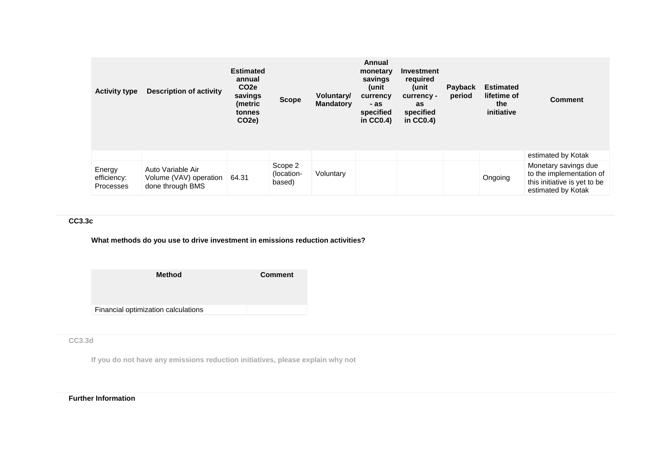| <b>Activity type</b>               | <b>Description of activity</b>                                  | <b>Estimated</b><br>annual<br>CO <sub>2</sub> e<br>savings<br>(metric<br>tonnes<br>CO <sub>2</sub> e) | <b>Scope</b>                    | Voluntary/<br><b>Mandatory</b> | Annual<br>monetary<br>savings<br>(unit<br>currency<br>- as<br>specified<br>in $CC0.4$ ) | Investment<br>required<br>unit)<br>currency -<br>as<br>specified<br>in $CC0.4$ ) | <b>Payback</b><br>period | <b>Estimated</b><br>lifetime of<br>the<br>initiative | <b>Comment</b>                                                                                         |
|------------------------------------|-----------------------------------------------------------------|-------------------------------------------------------------------------------------------------------|---------------------------------|--------------------------------|-----------------------------------------------------------------------------------------|----------------------------------------------------------------------------------|--------------------------|------------------------------------------------------|--------------------------------------------------------------------------------------------------------|
|                                    |                                                                 |                                                                                                       |                                 |                                |                                                                                         |                                                                                  |                          |                                                      | estimated by Kotak                                                                                     |
| Energy<br>efficiency:<br>Processes | Auto Variable Air<br>Volume (VAV) operation<br>done through BMS | 64.31                                                                                                 | Scope 2<br>(location-<br>based) | Voluntary                      |                                                                                         |                                                                                  |                          | Ongoing                                              | Monetary savings due<br>to the implementation of<br>this initiative is yet to be<br>estimated by Kotak |

## **CC3.3c**

## **What methods do you use to drive investment in emissions reduction activities?**

| <b>Method</b>                       | <b>Comment</b> |
|-------------------------------------|----------------|
| Financial optimization calculations |                |

**CC3.3d**

**If you do not have any emissions reduction initiatives, please explain why not**

## **Further Information**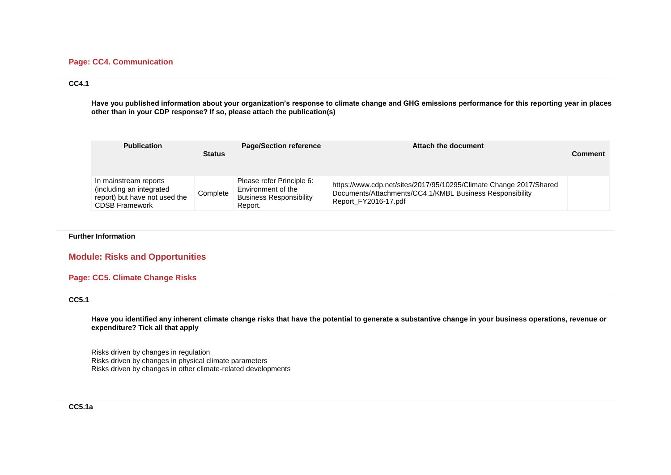#### **Page: CC4. Communication**

#### **CC4.1**

**Have you published information about your organization's response to climate change and GHG emissions performance for this reporting year in places other than in your CDP response? If so, please attach the publication(s)**

| <b>Publication</b>                                                                                          | <b>Status</b> | <b>Page/Section reference</b>                                                                | Attach the document                                                                                                                                    | <b>Comment</b> |
|-------------------------------------------------------------------------------------------------------------|---------------|----------------------------------------------------------------------------------------------|--------------------------------------------------------------------------------------------------------------------------------------------------------|----------------|
| In mainstream reports<br>(including an integrated<br>report) but have not used the<br><b>CDSB Framework</b> | Complete      | Please refer Principle 6:<br>Environment of the<br><b>Business Responsibility</b><br>Report. | https://www.cdp.net/sites/2017/95/10295/Climate Change 2017/Shared<br>Documents/Attachments/CC4.1/KMBL Business Responsibility<br>Report FY2016-17.pdf |                |

**Further Information**

**Module: Risks and Opportunities**

#### **Page: CC5. Climate Change Risks**

#### **CC5.1**

**Have you identified any inherent climate change risks that have the potential to generate a substantive change in your business operations, revenue or expenditure? Tick all that apply**

Risks driven by changes in regulation Risks driven by changes in physical climate parameters Risks driven by changes in other climate-related developments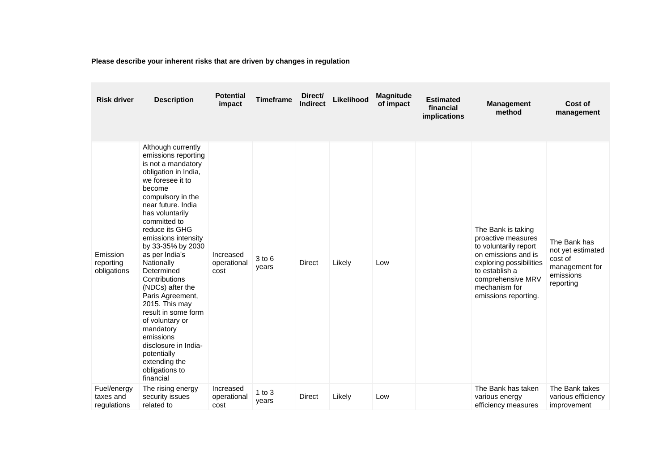**Please describe your inherent risks that are driven by changes in regulation**

| <b>Risk driver</b>                      | <b>Description</b>                                                                                                                                                                                                                                                                                                                                                                                                                                                                                                                                    | <b>Potential</b><br>impact       | <b>Timeframe</b>  | Direct/<br><b>Indirect</b> | Likelihood | <b>Magnitude</b><br>of impact | <b>Estimated</b><br>financial<br>implications | <b>Management</b><br>method                                                                                                                                                                         | Cost of<br>management                                                                    |
|-----------------------------------------|-------------------------------------------------------------------------------------------------------------------------------------------------------------------------------------------------------------------------------------------------------------------------------------------------------------------------------------------------------------------------------------------------------------------------------------------------------------------------------------------------------------------------------------------------------|----------------------------------|-------------------|----------------------------|------------|-------------------------------|-----------------------------------------------|-----------------------------------------------------------------------------------------------------------------------------------------------------------------------------------------------------|------------------------------------------------------------------------------------------|
| Emission<br>reporting<br>obligations    | Although currently<br>emissions reporting<br>is not a mandatory<br>obligation in India,<br>we foresee it to<br>become<br>compulsory in the<br>near future. India<br>has voluntarily<br>committed to<br>reduce its GHG<br>emissions intensity<br>by 33-35% by 2030<br>as per India's<br>Nationally<br>Determined<br>Contributions<br>(NDCs) after the<br>Paris Agreement,<br>2015. This may<br>result in some form<br>of voluntary or<br>mandatory<br>emissions<br>disclosure in India-<br>potentially<br>extending the<br>obligations to<br>financial | Increased<br>operational<br>cost | 3 to 6<br>years   | <b>Direct</b>              | Likely     | Low                           |                                               | The Bank is taking<br>proactive measures<br>to voluntarily report<br>on emissions and is<br>exploring possibilities<br>to establish a<br>comprehensive MRV<br>mechanism for<br>emissions reporting. | The Bank has<br>not yet estimated<br>cost of<br>management for<br>emissions<br>reporting |
| Fuel/energy<br>taxes and<br>regulations | The rising energy<br>security issues<br>related to                                                                                                                                                                                                                                                                                                                                                                                                                                                                                                    | Increased<br>operational<br>cost | 1 to $3$<br>years | <b>Direct</b>              | Likely     | Low                           |                                               | The Bank has taken<br>various energy<br>efficiency measures                                                                                                                                         | The Bank takes<br>various efficiency<br>improvement                                      |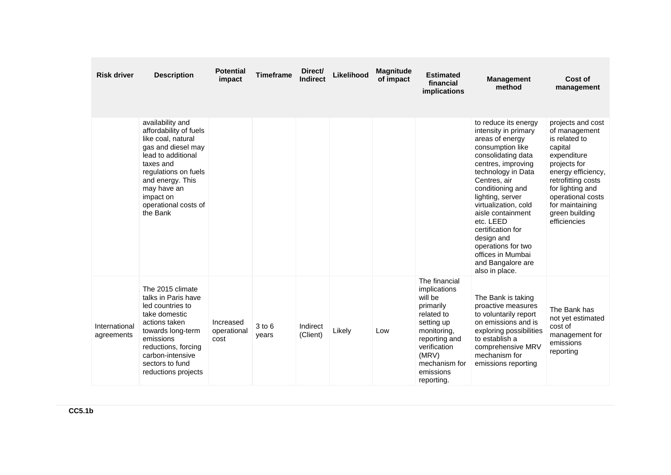| <b>Risk driver</b>          | <b>Description</b>                                                                                                                                                                                                                    | <b>Potential</b><br>impact       | <b>Timeframe</b> | Direct/<br><b>Indirect</b> | Likelihood | <b>Magnitude</b><br>of impact | <b>Estimated</b><br>financial<br><i>implications</i>                                                                                                                                   | <b>Management</b><br>method                                                                                                                                                                                                                                                                                                                                                                  | Cost of<br>management                                                                                                                                                                                                                   |
|-----------------------------|---------------------------------------------------------------------------------------------------------------------------------------------------------------------------------------------------------------------------------------|----------------------------------|------------------|----------------------------|------------|-------------------------------|----------------------------------------------------------------------------------------------------------------------------------------------------------------------------------------|----------------------------------------------------------------------------------------------------------------------------------------------------------------------------------------------------------------------------------------------------------------------------------------------------------------------------------------------------------------------------------------------|-----------------------------------------------------------------------------------------------------------------------------------------------------------------------------------------------------------------------------------------|
|                             | availability and<br>affordability of fuels<br>like coal, natural<br>gas and diesel may<br>lead to additional<br>taxes and<br>regulations on fuels<br>and energy. This<br>may have an<br>impact on<br>operational costs of<br>the Bank |                                  |                  |                            |            |                               |                                                                                                                                                                                        | to reduce its energy<br>intensity in primary<br>areas of energy<br>consumption like<br>consolidating data<br>centres, improving<br>technology in Data<br>Centres, air<br>conditioning and<br>lighting, server<br>virtualization, cold<br>aisle containment<br>etc. LEED<br>certification for<br>design and<br>operations for two<br>offices in Mumbai<br>and Bangalore are<br>also in place. | projects and cost<br>of management<br>is related to<br>capital<br>expenditure<br>projects for<br>energy efficiency,<br>retrofitting costs<br>for lighting and<br>operational costs<br>for maintaining<br>green building<br>efficiencies |
| International<br>agreements | The 2015 climate<br>talks in Paris have<br>led countries to<br>take domestic<br>actions taken<br>towards long-term<br>emissions<br>reductions, forcing<br>carbon-intensive<br>sectors to fund<br>reductions projects                  | Increased<br>operational<br>cost | 3 to 6<br>years  | Indirect<br>(Client)       | Likely     | Low                           | The financial<br>implications<br>will be<br>primarily<br>related to<br>setting up<br>monitoring,<br>reporting and<br>verification<br>(MRV)<br>mechanism for<br>emissions<br>reporting. | The Bank is taking<br>proactive measures<br>to voluntarily report<br>on emissions and is<br>exploring possibilities<br>to establish a<br>comprehensive MRV<br>mechanism for<br>emissions reporting                                                                                                                                                                                           | The Bank has<br>not yet estimated<br>cost of<br>management for<br>emissions<br>reporting                                                                                                                                                |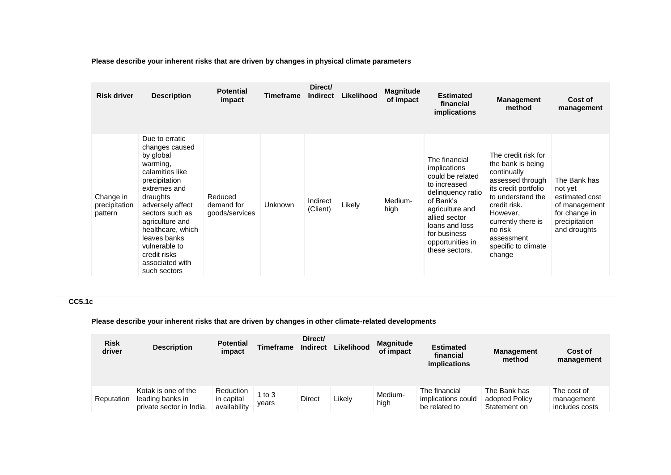**Please describe your inherent risks that are driven by changes in physical climate parameters**

| <b>Risk driver</b>                    | <b>Description</b>                                                                                                                                                                                                                                                                           | <b>Potential</b><br>impact              | Timeframe | Direct/<br><b>Indirect</b> | Likelihood | <b>Magnitude</b><br>of impact | <b>Estimated</b><br>financial<br>implications                                                                                                                                                                   | <b>Management</b><br>method                                                                                                                                                                                                          | Cost of<br>management                                                                                        |
|---------------------------------------|----------------------------------------------------------------------------------------------------------------------------------------------------------------------------------------------------------------------------------------------------------------------------------------------|-----------------------------------------|-----------|----------------------------|------------|-------------------------------|-----------------------------------------------------------------------------------------------------------------------------------------------------------------------------------------------------------------|--------------------------------------------------------------------------------------------------------------------------------------------------------------------------------------------------------------------------------------|--------------------------------------------------------------------------------------------------------------|
| Change in<br>precipitation<br>pattern | Due to erratic<br>changes caused<br>by global<br>warming,<br>calamities like<br>precipitation<br>extremes and<br>draughts<br>adversely affect<br>sectors such as<br>agriculture and<br>healthcare, which<br>leaves banks<br>vulnerable to<br>credit risks<br>associated with<br>such sectors | Reduced<br>demand for<br>goods/services | Unknown   | Indirect<br>(Client)       | Likely     | Medium-<br>high               | The financial<br>implications<br>could be related<br>to increased<br>delinquency ratio<br>of Bank's<br>agriculture and<br>allied sector<br>loans and loss<br>for business<br>opportunities in<br>these sectors. | The credit risk for<br>the bank is being<br>continually<br>assessed through<br>its credit portfolio<br>to understand the<br>credit risk.<br>However,<br>currently there is<br>no risk<br>assessment<br>specific to climate<br>change | The Bank has<br>not yet<br>estimated cost<br>of management<br>for change in<br>precipitation<br>and droughts |

## **CC5.1c**

## **Please describe your inherent risks that are driven by changes in other climate-related developments**

| <b>Risk</b><br>driver | <b>Description</b>                                                  | <b>Potential</b><br>impact                     | <b>Timeframe</b> | Direct/<br><b>Indirect</b> | Likelihood | <b>Magnitude</b><br>of impact | <b>Estimated</b><br>financial<br>implications        | <b>Management</b><br>method                    | Cost of<br>management                       |
|-----------------------|---------------------------------------------------------------------|------------------------------------------------|------------------|----------------------------|------------|-------------------------------|------------------------------------------------------|------------------------------------------------|---------------------------------------------|
| Reputation            | Kotak is one of the<br>leading banks in<br>private sector in India. | <b>Reduction</b><br>in capital<br>availability | 1 to 3<br>years  | Direct                     | Likely     | Medium-<br>high               | The financial<br>implications could<br>be related to | The Bank has<br>adopted Policy<br>Statement on | The cost of<br>management<br>includes costs |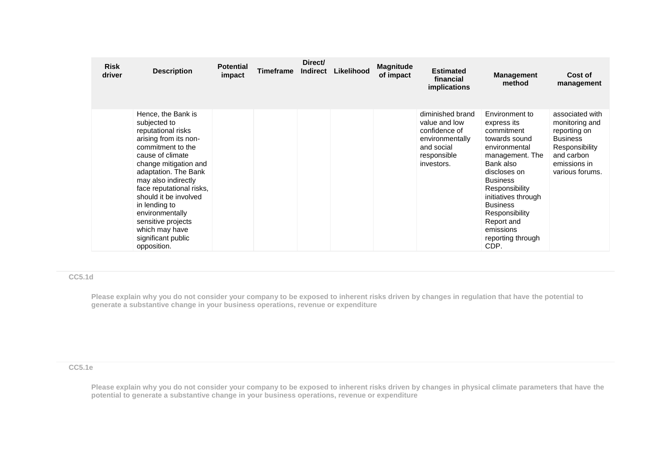| <b>Risk</b><br>driver | <b>Description</b>                                                                                                                                                                                                                                                                                                                                                       | <b>Potential</b><br>impact | <b>Timeframe</b> | Direct/<br><b>Indirect</b> | Likelihood | <b>Magnitude</b><br>of impact | <b>Estimated</b><br>financial<br>implications                                                                    | <b>Management</b><br>method                                                                                                                                                                                                                                                            | Cost of<br>management                                                                                                                   |
|-----------------------|--------------------------------------------------------------------------------------------------------------------------------------------------------------------------------------------------------------------------------------------------------------------------------------------------------------------------------------------------------------------------|----------------------------|------------------|----------------------------|------------|-------------------------------|------------------------------------------------------------------------------------------------------------------|----------------------------------------------------------------------------------------------------------------------------------------------------------------------------------------------------------------------------------------------------------------------------------------|-----------------------------------------------------------------------------------------------------------------------------------------|
|                       | Hence, the Bank is<br>subjected to<br>reputational risks<br>arising from its non-<br>commitment to the<br>cause of climate<br>change mitigation and<br>adaptation. The Bank<br>may also indirectly<br>face reputational risks,<br>should it be involved<br>in lending to<br>environmentally<br>sensitive projects<br>which may have<br>significant public<br>opposition. |                            |                  |                            |            |                               | diminished brand<br>value and low<br>confidence of<br>environmentally<br>and social<br>responsible<br>investors. | Environment to<br>express its<br>commitment<br>towards sound<br>environmental<br>management. The<br>Bank also<br>discloses on<br><b>Business</b><br>Responsibility<br>initiatives through<br><b>Business</b><br>Responsibility<br>Report and<br>emissions<br>reporting through<br>CDP. | associated with<br>monitoring and<br>reporting on<br><b>Business</b><br>Responsibility<br>and carbon<br>emissions in<br>various forums. |

## **CC5.1d**

**Please explain why you do not consider your company to be exposed to inherent risks driven by changes in regulation that have the potential to generate a substantive change in your business operations, revenue or expenditure** 

## **CC5.1e**

**Please explain why you do not consider your company to be exposed to inherent risks driven by changes in physical climate parameters that have the potential to generate a substantive change in your business operations, revenue or expenditure**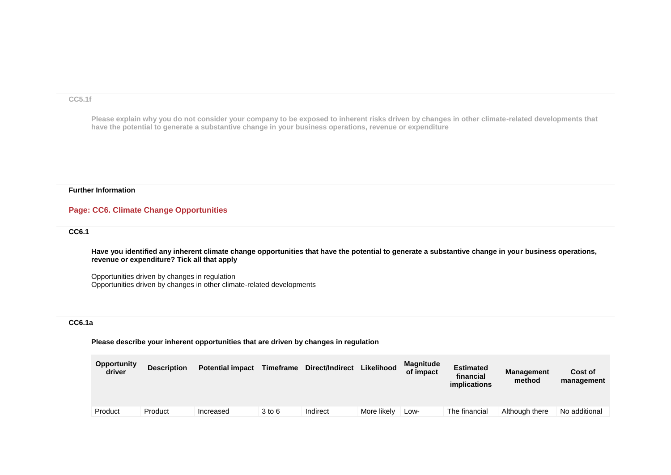#### **CC5.1f**

**Please explain why you do not consider your company to be exposed to inherent risks driven by changes in other climate-related developments that have the potential to generate a substantive change in your business operations, revenue or expenditure**

#### **Further Information**

#### **Page: CC6. Climate Change Opportunities**

#### **CC6.1**

**Have you identified any inherent climate change opportunities that have the potential to generate a substantive change in your business operations, revenue or expenditure? Tick all that apply**

Opportunities driven by changes in regulation Opportunities driven by changes in other climate-related developments

#### **CC6.1a**

**Please describe your inherent opportunities that are driven by changes in regulation**

| <b>Opportunity</b><br>driver | <b>Description</b> | <b>Potential impact</b> | <b>Timeframe</b> | Direct/Indirect | Likelihood  | <b>Magnitude</b><br>of impact | <b>Estimated</b><br>financial<br><i>implications</i> | <b>Management</b><br>method | Cost of<br>management |
|------------------------------|--------------------|-------------------------|------------------|-----------------|-------------|-------------------------------|------------------------------------------------------|-----------------------------|-----------------------|
| Product                      | Product            | Increased               | 3 to 6           | Indirect        | More likely | Low-                          | The financial                                        | Although there              | No additional         |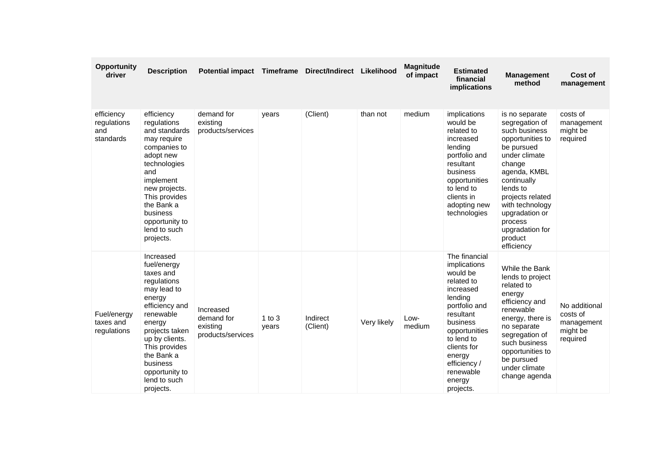| <b>Opportunity</b><br>driver                  | <b>Description</b>                                                                                                                                                                                                                                   | Potential impact Timeframe                               |                     | Direct/Indirect Likelihood |             | <b>Magnitude</b><br>of impact | <b>Estimated</b><br>financial<br>implications                                                                                                                                                                                         | <b>Management</b><br>method                                                                                                                                                                                                                                               | Cost of<br>management                                           |
|-----------------------------------------------|------------------------------------------------------------------------------------------------------------------------------------------------------------------------------------------------------------------------------------------------------|----------------------------------------------------------|---------------------|----------------------------|-------------|-------------------------------|---------------------------------------------------------------------------------------------------------------------------------------------------------------------------------------------------------------------------------------|---------------------------------------------------------------------------------------------------------------------------------------------------------------------------------------------------------------------------------------------------------------------------|-----------------------------------------------------------------|
| efficiency<br>regulations<br>and<br>standards | efficiency<br>regulations<br>and standards<br>may require<br>companies to<br>adopt new<br>technologies<br>and<br>implement<br>new projects.<br>This provides<br>the Bank a<br>business<br>opportunity to<br>lend to such<br>projects.                | demand for<br>existing<br>products/services              | years               | (Client)                   | than not    | medium                        | implications<br>would be<br>related to<br>increased<br>lending<br>portfolio and<br>resultant<br>business<br>opportunities<br>to lend to<br>clients in<br>adopting new<br>technologies                                                 | is no separate<br>segregation of<br>such business<br>opportunities to<br>be pursued<br>under climate<br>change<br>agenda, KMBL<br>continually<br>lends to<br>projects related<br>with technology<br>upgradation or<br>process<br>upgradation for<br>product<br>efficiency | costs of<br>management<br>might be<br>required                  |
| Fuel/energy<br>taxes and<br>regulations       | Increased<br>fuel/energy<br>taxes and<br>regulations<br>may lead to<br>energy<br>efficiency and<br>renewable<br>energy<br>projects taken<br>up by clients.<br>This provides<br>the Bank a<br>business<br>opportunity to<br>lend to such<br>projects. | Increased<br>demand for<br>existing<br>products/services | $1$ to $3$<br>years | Indirect<br>(Client)       | Very likely | Low-<br>medium                | The financial<br>implications<br>would be<br>related to<br>increased<br>lending<br>portfolio and<br>resultant<br>business<br>opportunities<br>to lend to<br>clients for<br>energy<br>efficiency /<br>renewable<br>energy<br>projects. | While the Bank<br>lends to project<br>related to<br>energy<br>efficiency and<br>renewable<br>energy, there is<br>no separate<br>segregation of<br>such business<br>opportunities to<br>be pursued<br>under climate<br>change agenda                                       | No additional<br>costs of<br>management<br>might be<br>required |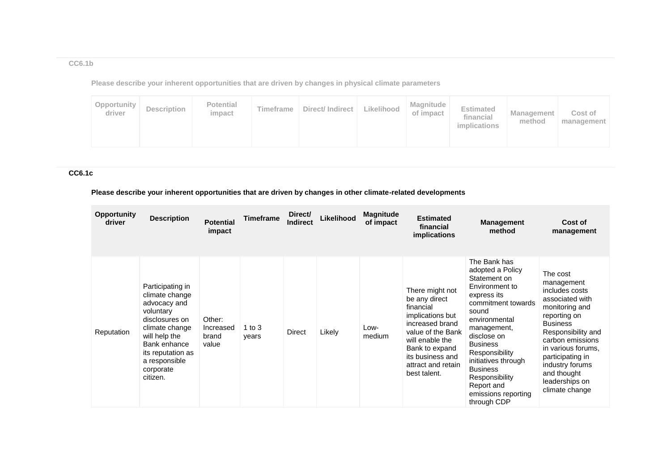## **CC6.1b**

**Please describe your inherent opportunities that are driven by changes in physical climate parameters**

## **CC6.1c**

## **Please describe your inherent opportunities that are driven by changes in other climate-related developments**

| <b>Opportunity</b><br>driver | <b>Description</b>                                                                                                                                                                                  | <b>Potential</b><br>impact            | Timeframe         | Direct/<br><b>Indirect</b> | Likelihood | <b>Magnitude</b><br>of impact | <b>Estimated</b><br>financial<br>implications                                                                                                                                                            | <b>Management</b><br>method                                                                                                                                                                                                                                                                                          | Cost of<br>management                                                                                                                                                                                                                                                      |
|------------------------------|-----------------------------------------------------------------------------------------------------------------------------------------------------------------------------------------------------|---------------------------------------|-------------------|----------------------------|------------|-------------------------------|----------------------------------------------------------------------------------------------------------------------------------------------------------------------------------------------------------|----------------------------------------------------------------------------------------------------------------------------------------------------------------------------------------------------------------------------------------------------------------------------------------------------------------------|----------------------------------------------------------------------------------------------------------------------------------------------------------------------------------------------------------------------------------------------------------------------------|
| Reputation                   | Participating in<br>climate change<br>advocacy and<br>voluntary<br>disclosures on<br>climate change<br>will help the<br>Bank enhance<br>its reputation as<br>a responsible<br>corporate<br>citizen. | Other:<br>Increased<br>brand<br>value | 1 to $3$<br>years | Direct                     | Likely     | Low-<br>medium                | There might not<br>be any direct<br>financial<br>implications but<br>increased brand<br>value of the Bank<br>will enable the<br>Bank to expand<br>its business and<br>attract and retain<br>best talent. | The Bank has<br>adopted a Policy<br>Statement on<br>Environment to<br>express its<br>commitment towards<br>sound<br>environmental<br>management,<br>disclose on<br><b>Business</b><br>Responsibility<br>initiatives through<br><b>Business</b><br>Responsibility<br>Report and<br>emissions reporting<br>through CDP | The cost<br>management<br>includes costs<br>associated with<br>monitoring and<br>reporting on<br><b>Business</b><br>Responsibility and<br>carbon emissions<br>in various forums.<br>participating in<br>industry forums<br>and thought<br>leaderships on<br>climate change |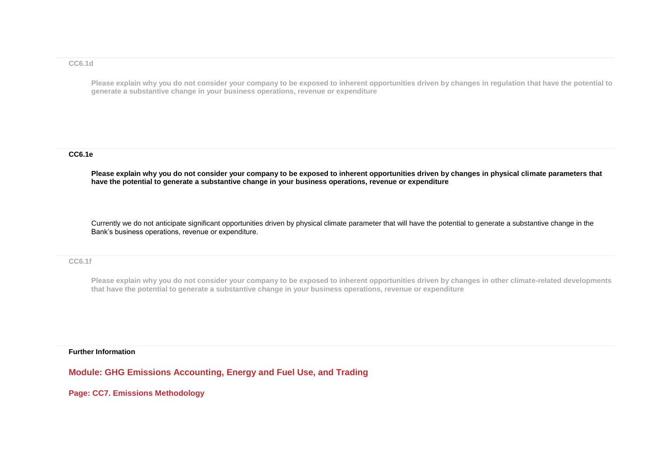#### **CC6.1d**

**Please explain why you do not consider your company to be exposed to inherent opportunities driven by changes in regulation that have the potential to generate a substantive change in your business operations, revenue or expenditure**

#### **CC6.1e**

**Please explain why you do not consider your company to be exposed to inherent opportunities driven by changes in physical climate parameters that have the potential to generate a substantive change in your business operations, revenue or expenditure**

Currently we do not anticipate significant opportunities driven by physical climate parameter that will have the potential to generate a substantive change in the Bank's business operations, revenue or expenditure.

#### **CC6.1f**

**Please explain why you do not consider your company to be exposed to inherent opportunities driven by changes in other climate-related developments that have the potential to generate a substantive change in your business operations, revenue or expenditure**

#### **Further Information**

**Module: GHG Emissions Accounting, Energy and Fuel Use, and Trading**

**Page: CC7. Emissions Methodology**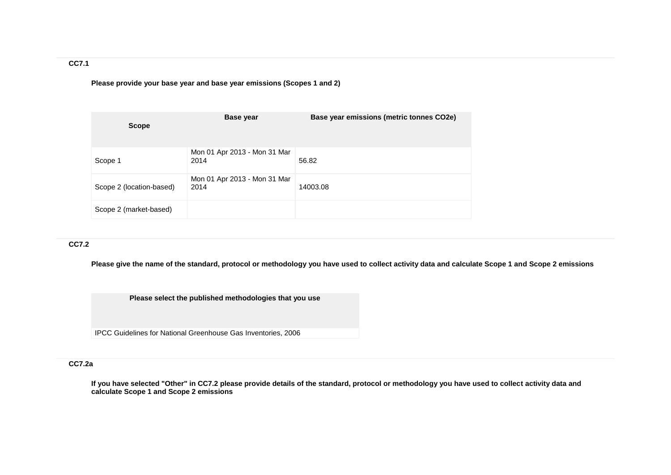## **CC7.1**

**Please provide your base year and base year emissions (Scopes 1 and 2)**

| <b>Scope</b>             | Base year                            | Base year emissions (metric tonnes CO2e) |
|--------------------------|--------------------------------------|------------------------------------------|
| Scope 1                  | Mon 01 Apr 2013 - Mon 31 Mar<br>2014 | 56.82                                    |
| Scope 2 (location-based) | Mon 01 Apr 2013 - Mon 31 Mar<br>2014 | 14003.08                                 |
| Scope 2 (market-based)   |                                      |                                          |

## **CC7.2**

**Please give the name of the standard, protocol or methodology you have used to collect activity data and calculate Scope 1 and Scope 2 emissions** 

**Please select the published methodologies that you use**

IPCC Guidelines for National Greenhouse Gas Inventories, 2006

#### **CC7.2a**

**If you have selected "Other" in CC7.2 please provide details of the standard, protocol or methodology you have used to collect activity data and calculate Scope 1 and Scope 2 emissions**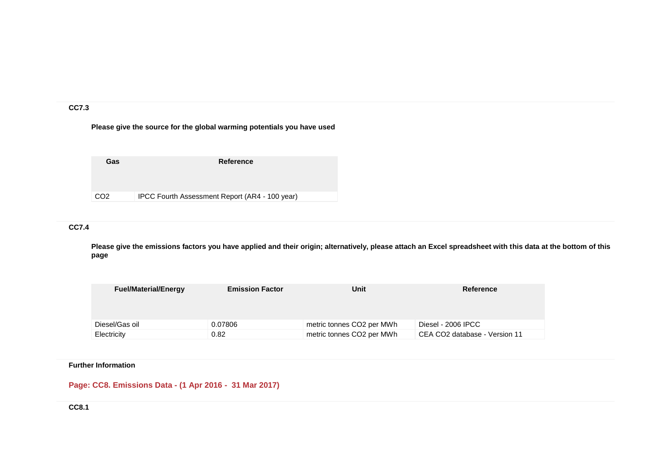#### **CC7.3**

## **Please give the source for the global warming potentials you have used**

| CO <sub>2</sub> | IPCC Fourth Assessment Report (AR4 - 100 year) |
|-----------------|------------------------------------------------|

## **CC7.4**

**Please give the emissions factors you have applied and their origin; alternatively, please attach an Excel spreadsheet with this data at the bottom of this page**

| <b>Fuel/Material/Energy</b> | <b>Emission Factor</b> | Unit                                  | Reference                     |
|-----------------------------|------------------------|---------------------------------------|-------------------------------|
|                             |                        |                                       |                               |
|                             |                        |                                       |                               |
|                             |                        |                                       |                               |
| Diesel/Gas oil              | 0.07806                | metric tonnes CO <sub>2</sub> per MWh | Diesel - 2006 IPCC            |
| Electricity                 | 0.82                   | metric tonnes CO <sub>2</sub> per MWh | CEA CO2 database - Version 11 |

## **Further Information**

## **Page: CC8. Emissions Data - (1 Apr 2016 - 31 Mar 2017)**

**CC8.1**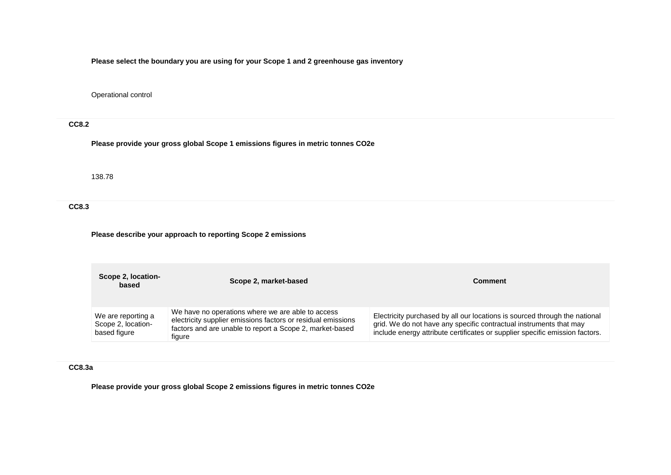**Please select the boundary you are using for your Scope 1 and 2 greenhouse gas inventory**

Operational control

## **CC8.2**

**Please provide your gross global Scope 1 emissions figures in metric tonnes CO2e**

138.78

**CC8.3**

**Please describe your approach to reporting Scope 2 emissions**

| Scope 2, location-<br>based                              | Scope 2, market-based                                                                                                                                                                   | <b>Comment</b>                                                                                                                                                                                                                   |
|----------------------------------------------------------|-----------------------------------------------------------------------------------------------------------------------------------------------------------------------------------------|----------------------------------------------------------------------------------------------------------------------------------------------------------------------------------------------------------------------------------|
| We are reporting a<br>Scope 2, location-<br>based figure | We have no operations where we are able to access<br>electricity supplier emissions factors or residual emissions<br>factors and are unable to report a Scope 2, market-based<br>figure | Electricity purchased by all our locations is sourced through the national<br>grid. We do not have any specific contractual instruments that may<br>include energy attribute certificates or supplier specific emission factors. |

## **CC8.3a**

**Please provide your gross global Scope 2 emissions figures in metric tonnes CO2e**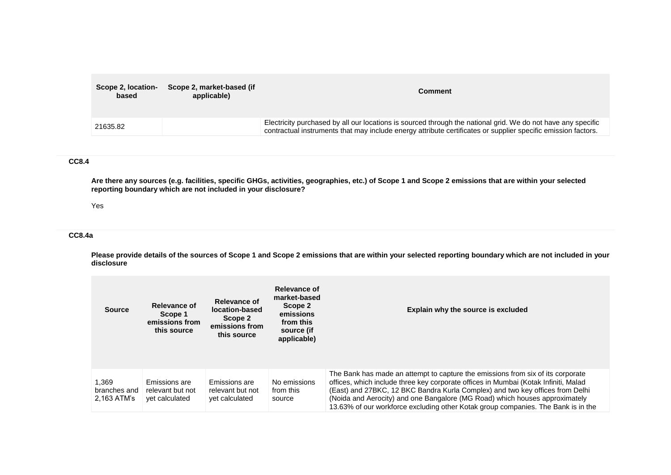| Scope 2, location-<br>based | Scope 2, market-based (if<br>applicable) | Comment                                                                                                                                                                                                                       |
|-----------------------------|------------------------------------------|-------------------------------------------------------------------------------------------------------------------------------------------------------------------------------------------------------------------------------|
| 21635.82                    |                                          | Electricity purchased by all our locations is sourced through the national grid. We do not have any specific<br>contractual instruments that may include energy attribute certificates or supplier specific emission factors. |

## **CC8.4**

**Are there any sources (e.g. facilities, specific GHGs, activities, geographies, etc.) of Scope 1 and Scope 2 emissions that are within your selected reporting boundary which are not included in your disclosure?**

#### Yes

#### **CC8.4a**

**Please provide details of the sources of Scope 1 and Scope 2 emissions that are within your selected reporting boundary which are not included in your disclosure**

| <b>Source</b>                        | Relevance of<br>Relevance of<br>location-based<br>Scope 1<br>Scope 2<br>emissions from<br>emissions from<br>this source<br>this source |                                                     | Relevance of<br>market-based<br>Scope 2<br>emissions<br>from this<br>source (if<br>applicable) | Explain why the source is excluded                                                                                                                                                                                                                                                                                                                                                                                          |
|--------------------------------------|----------------------------------------------------------------------------------------------------------------------------------------|-----------------------------------------------------|------------------------------------------------------------------------------------------------|-----------------------------------------------------------------------------------------------------------------------------------------------------------------------------------------------------------------------------------------------------------------------------------------------------------------------------------------------------------------------------------------------------------------------------|
| 1.369<br>branches and<br>2,163 ATM's | Emissions are<br>relevant but not<br>yet calculated                                                                                    | Emissions are<br>relevant but not<br>yet calculated | No emissions<br>from this<br>source                                                            | The Bank has made an attempt to capture the emissions from six of its corporate<br>offices, which include three key corporate offices in Mumbai (Kotak Infiniti, Malad<br>(East) and 27BKC, 12 BKC Bandra Kurla Complex) and two key offices from Delhi<br>(Noida and Aerocity) and one Bangalore (MG Road) which houses approximately<br>13.63% of our workforce excluding other Kotak group companies. The Bank is in the |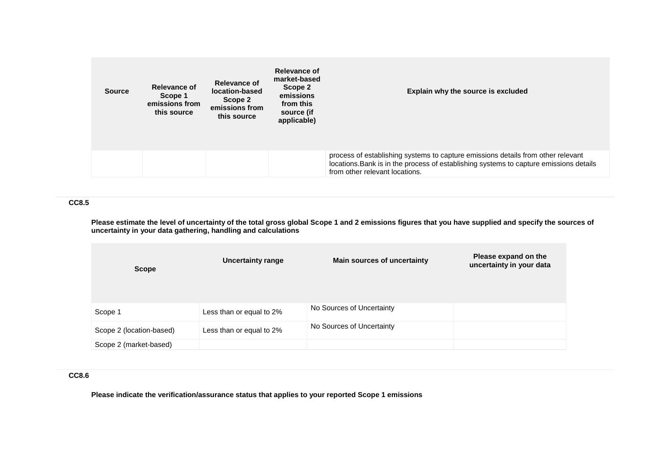| <b>Source</b> | Relevance of<br>Scope 1<br>emissions from<br>this source | <b>Relevance of</b><br>location-based<br>Scope 2<br>emissions from<br>this source | Relevance of<br>market-based<br>Scope 2<br>emissions<br>from this<br>source (if<br>applicable) | Explain why the source is excluded                                                                                                                                                                           |
|---------------|----------------------------------------------------------|-----------------------------------------------------------------------------------|------------------------------------------------------------------------------------------------|--------------------------------------------------------------------------------------------------------------------------------------------------------------------------------------------------------------|
|               |                                                          |                                                                                   |                                                                                                | process of establishing systems to capture emissions details from other relevant<br>locations. Bank is in the process of establishing systems to capture emissions details<br>from other relevant locations. |

## **CC8.5**

**Please estimate the level of uncertainty of the total gross global Scope 1 and 2 emissions figures that you have supplied and specify the sources of uncertainty in your data gathering, handling and calculations**

| <b>Scope</b>             | <b>Uncertainty range</b> | <b>Main sources of uncertainty</b> | Please expand on the<br>uncertainty in your data |
|--------------------------|--------------------------|------------------------------------|--------------------------------------------------|
| Scope 1                  | Less than or equal to 2% | No Sources of Uncertainty          |                                                  |
| Scope 2 (location-based) | Less than or equal to 2% | No Sources of Uncertainty          |                                                  |
| Scope 2 (market-based)   |                          |                                    |                                                  |

## **CC8.6**

**Please indicate the verification/assurance status that applies to your reported Scope 1 emissions**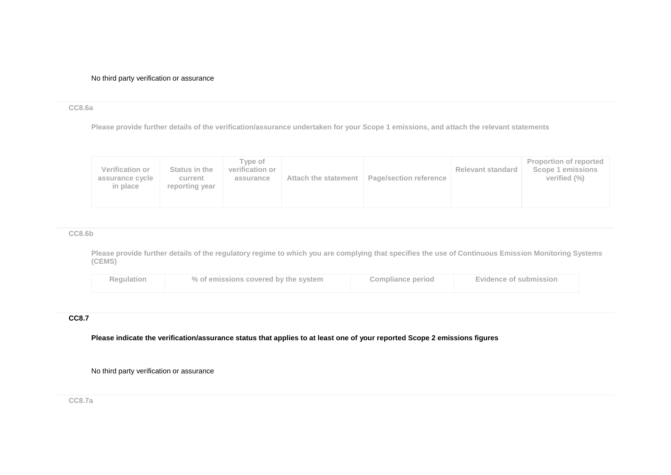No third party verification or assurance

#### **CC8.6a**

**Please provide further details of the verification/assurance undertaken for your Scope 1 emissions, and attach the relevant statements**

| <b>Verification or</b><br>assurance cycle<br>in place | Status in the<br>current<br>reporting year | Tvpe of<br>verification or<br>assurance | Attach the statement | <b>Page/section reference</b> | <b>Relevant standard</b> | <b>Proportion of reported</b><br>Scope 1 emissions<br>verified $(\% )$ |
|-------------------------------------------------------|--------------------------------------------|-----------------------------------------|----------------------|-------------------------------|--------------------------|------------------------------------------------------------------------|
|-------------------------------------------------------|--------------------------------------------|-----------------------------------------|----------------------|-------------------------------|--------------------------|------------------------------------------------------------------------|

#### **CC8.6b**

**Please provide further details of the regulatory regime to which you are complying that specifies the use of Continuous Emission Monitoring Systems (CEMS)**

| <b>Regulation</b> | % of emissions covered by the system | <b>Compliance period</b> | <b>Evidence of submission</b> |
|-------------------|--------------------------------------|--------------------------|-------------------------------|
|-------------------|--------------------------------------|--------------------------|-------------------------------|

## **CC8.7**

**Please indicate the verification/assurance status that applies to at least one of your reported Scope 2 emissions figures**

No third party verification or assurance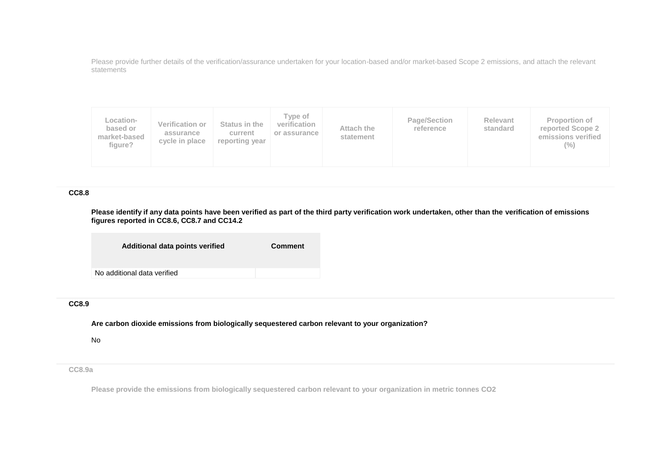Please provide further details of the verification/assurance undertaken for your location-based and/or market-based Scope 2 emissions, and attach the relevant statements

| Location-<br>based or<br>market-based<br>figure? | <b>Verification or</b><br>assurance<br>cycle in place | Status in the<br>current<br>reporting year | Tvpe of<br>verification<br>or assurance | Attach the<br>statement | Page/Section<br>reference | Relevant<br>standard | <b>Proportion of</b><br>reported Scope 2<br>emissions verified<br>$(\%)$ |
|--------------------------------------------------|-------------------------------------------------------|--------------------------------------------|-----------------------------------------|-------------------------|---------------------------|----------------------|--------------------------------------------------------------------------|
|--------------------------------------------------|-------------------------------------------------------|--------------------------------------------|-----------------------------------------|-------------------------|---------------------------|----------------------|--------------------------------------------------------------------------|

## **CC8.8**

**Please identify if any data points have been verified as part of the third party verification work undertaken, other than the verification of emissions figures reported in CC8.6, CC8.7 and CC14.2**

| Additional data points verified | <b>Comment</b> |
|---------------------------------|----------------|
| No additional data verified     |                |

#### **CC8.9**

**Are carbon dioxide emissions from biologically sequestered carbon relevant to your organization?**

No

**CC8.9a**

**Please provide the emissions from biologically sequestered carbon relevant to your organization in metric tonnes CO2**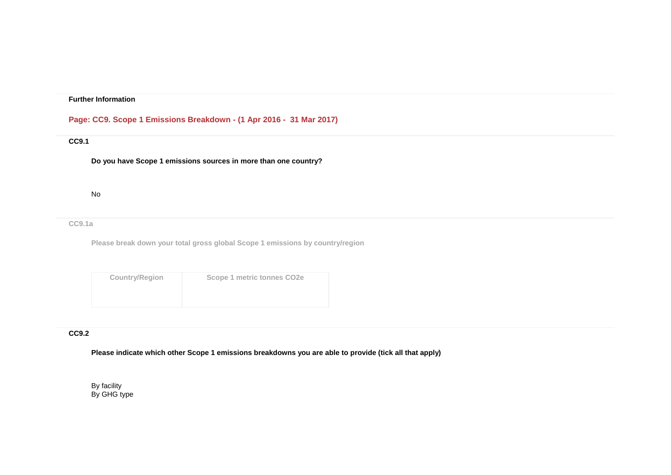## **Further Information**

## **Page: CC9. Scope 1 Emissions Breakdown - (1 Apr 2016 - 31 Mar 2017)**

## **CC9.1**

**Do you have Scope 1 emissions sources in more than one country?**

#### No

#### **CC9.1a**

**Please break down your total gross global Scope 1 emissions by country/region**

| <b>Country/Region</b> | Scope 1 metric tonnes CO <sub>2e</sub> |
|-----------------------|----------------------------------------|
|                       |                                        |
|                       |                                        |

#### **CC9.2**

**Please indicate which other Scope 1 emissions breakdowns you are able to provide (tick all that apply)**

By facility By GHG type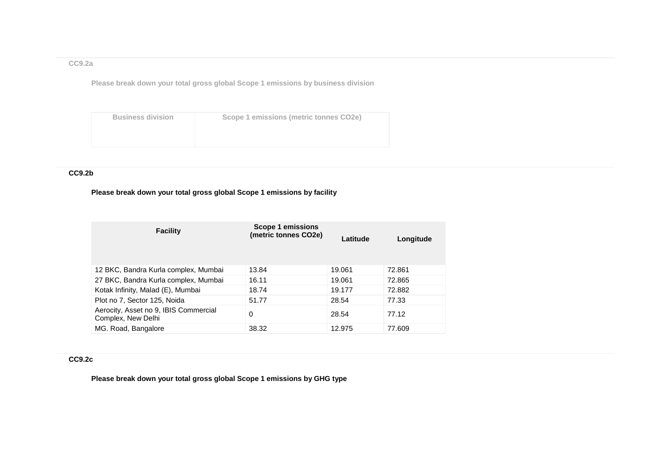## **CC9.2a**

**Please break down your total gross global Scope 1 emissions by business division**

| <b>Business division</b> | Scope 1 emissions (metric tonnes CO2e) |
|--------------------------|----------------------------------------|
|                          |                                        |
|                          |                                        |
|                          |                                        |

## **CC9.2b**

## **Please break down your total gross global Scope 1 emissions by facility**

| <b>Facility</b>                                             | Scope 1 emissions<br>(metric tonnes CO2e) | Latitude | Longitude |
|-------------------------------------------------------------|-------------------------------------------|----------|-----------|
| 12 BKC, Bandra Kurla complex, Mumbai                        | 13.84                                     | 19.061   | 72.861    |
| 27 BKC, Bandra Kurla complex, Mumbai                        | 16.11                                     | 19.061   | 72.865    |
| Kotak Infinity, Malad (E), Mumbai                           | 18.74                                     | 19.177   | 72.882    |
| Plot no 7, Sector 125, Noida                                | 51.77                                     | 28.54    | 77.33     |
| Aerocity, Asset no 9, IBIS Commercial<br>Complex, New Delhi | 0                                         | 28.54    | 77.12     |
| MG. Road, Bangalore                                         | 38.32                                     | 12.975   | 77.609    |

## **CC9.2c**

**Please break down your total gross global Scope 1 emissions by GHG type**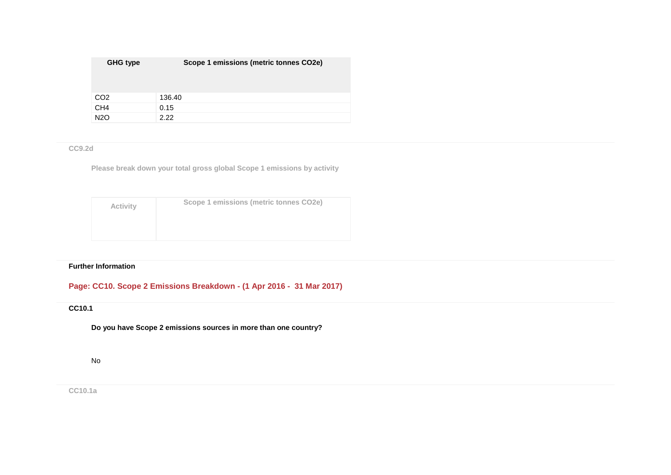| <b>GHG type</b> | Scope 1 emissions (metric tonnes CO2e) |
|-----------------|----------------------------------------|
| CO <sub>2</sub> | 136.40                                 |
| CH <sub>4</sub> | 0.15                                   |
| <b>N2O</b>      | 2.22                                   |

## **CC9.2d**

**Please break down your total gross global Scope 1 emissions by activity**

| Activity | Scope 1 emissions (metric tonnes CO2e) |
|----------|----------------------------------------|
|          |                                        |
|          |                                        |

## **Further Information**

## **Page: CC10. Scope 2 Emissions Breakdown - (1 Apr 2016 - 31 Mar 2017)**

## **CC10.1**

**Do you have Scope 2 emissions sources in more than one country?**

## No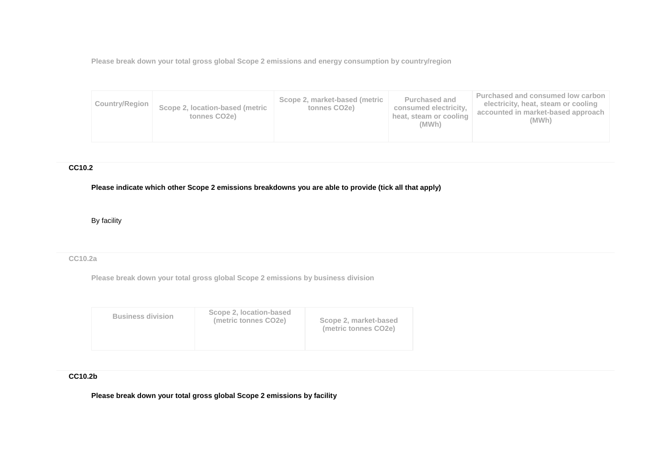**Please break down your total gross global Scope 2 emissions and energy consumption by country/region**

| <b>Purchased and</b><br>Scope 2, market-based (metric<br><b>Country/Region</b><br>Scope 2, location-based (metric<br>consumed electricity.<br>tonnes CO <sub>2</sub> e)<br>tonnes CO <sub>2</sub> e)<br>heat, steam or cooling<br>(MWh) | Purchased and consumed low carbon<br>electricity, heat, steam or cooling<br>accounted in market-based approach<br>(MWh) |
|-----------------------------------------------------------------------------------------------------------------------------------------------------------------------------------------------------------------------------------------|-------------------------------------------------------------------------------------------------------------------------|
|-----------------------------------------------------------------------------------------------------------------------------------------------------------------------------------------------------------------------------------------|-------------------------------------------------------------------------------------------------------------------------|

## **CC10.2**

**Please indicate which other Scope 2 emissions breakdowns you are able to provide (tick all that apply)**

By facility

## **CC10.2a**

**Please break down your total gross global Scope 2 emissions by business division**

| Scope 2, location-based<br><b>Business division</b><br>(metric tonnes CO2e)<br>Scope 2, market-based<br>(metric tonnes CO2e) |
|------------------------------------------------------------------------------------------------------------------------------|
|------------------------------------------------------------------------------------------------------------------------------|

## **CC10.2b**

**Please break down your total gross global Scope 2 emissions by facility**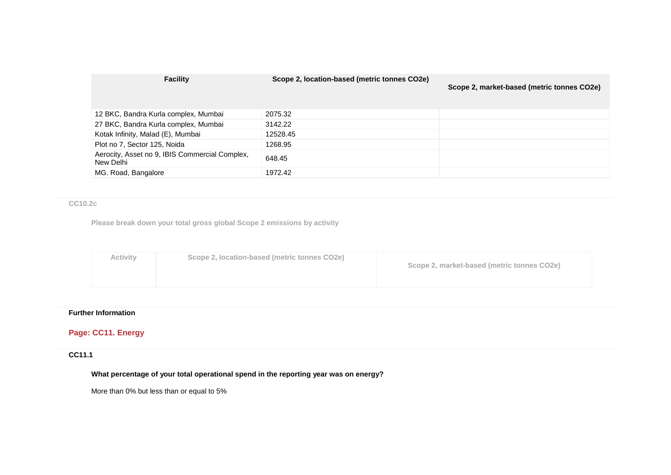| <b>Facility</b>                                             | Scope 2, location-based (metric tonnes CO2e) | Scope 2, market-based (metric tonnes CO2e) |
|-------------------------------------------------------------|----------------------------------------------|--------------------------------------------|
| 12 BKC, Bandra Kurla complex, Mumbai                        | 2075.32                                      |                                            |
| 27 BKC, Bandra Kurla complex, Mumbai                        | 3142.22                                      |                                            |
| Kotak Infinity, Malad (E), Mumbai                           | 12528.45                                     |                                            |
| Plot no 7, Sector 125, Noida                                | 1268.95                                      |                                            |
| Aerocity, Asset no 9, IBIS Commercial Complex,<br>New Delhi | 648.45                                       |                                            |
| MG. Road, Bangalore                                         | 1972.42                                      |                                            |

#### **CC10.2c**

**Please break down your total gross global Scope 2 emissions by activity**

| Scope 2, location-based (metric tonnes CO2e)<br>Activity | Scope 2, market-based (metric tonnes CO2e) |
|----------------------------------------------------------|--------------------------------------------|
|----------------------------------------------------------|--------------------------------------------|

## **Further Information**

## **Page: CC11. Energy**

## **CC11.1**

**What percentage of your total operational spend in the reporting year was on energy?**

More than 0% but less than or equal to 5%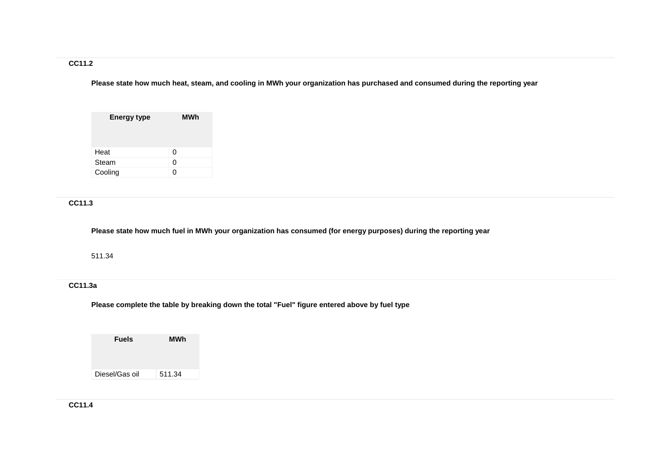## **CC11.2**

**Please state how much heat, steam, and cooling in MWh your organization has purchased and consumed during the reporting year**

| <b>Energy type</b> | MWh |
|--------------------|-----|
| Heat               | 0   |
| Steam              | O   |
| Cooling            | 0   |

## **CC11.3**

**Please state how much fuel in MWh your organization has consumed (for energy purposes) during the reporting year**

511.34

## **CC11.3a**

**Please complete the table by breaking down the total "Fuel" figure entered above by fuel type**

| <b>Fuels</b>   | MWh    |
|----------------|--------|
|                |        |
| Diesel/Gas oil | 511.34 |

**CC11.4**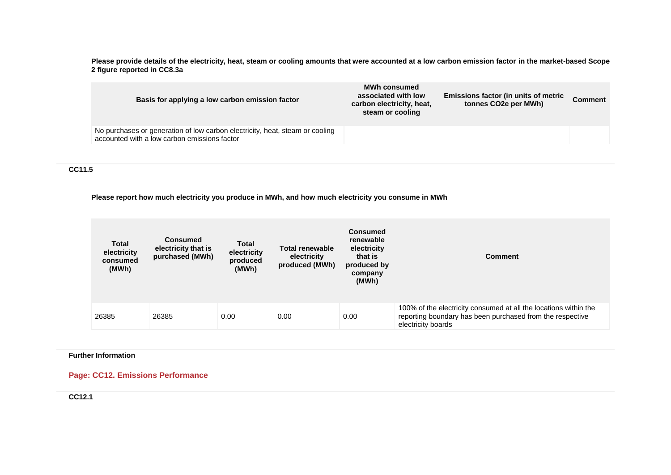**Please provide details of the electricity, heat, steam or cooling amounts that were accounted at a low carbon emission factor in the market-based Scope 2 figure reported in CC8.3a**

| Basis for applying a low carbon emission factor                                                                              | <b>MWh consumed</b><br>associated with low<br>carbon electricity, heat,<br>steam or cooling | Emissions factor (in units of metric<br>tonnes CO <sub>2</sub> e per MWh) | Comment |
|------------------------------------------------------------------------------------------------------------------------------|---------------------------------------------------------------------------------------------|---------------------------------------------------------------------------|---------|
| No purchases or generation of low carbon electricity, heat, steam or cooling<br>accounted with a low carbon emissions factor |                                                                                             |                                                                           |         |

**CC11.5**

**Please report how much electricity you produce in MWh, and how much electricity you consume in MWh**

| <b>Total</b><br>electricity<br>consumed<br>(MWh) | <b>Consumed</b><br>electricity that is<br>purchased (MWh) | Total<br>electricity<br>produced<br>(MWh) | <b>Total renewable</b><br>electricity<br>produced (MWh) | <b>Consumed</b><br>renewable<br>electricity<br>that is<br>produced by<br>company<br>(MWh) | <b>Comment</b>                                                                                                                                      |
|--------------------------------------------------|-----------------------------------------------------------|-------------------------------------------|---------------------------------------------------------|-------------------------------------------------------------------------------------------|-----------------------------------------------------------------------------------------------------------------------------------------------------|
| 26385                                            | 26385                                                     | 0.00                                      | 0.00                                                    | 0.00                                                                                      | 100% of the electricity consumed at all the locations within the<br>reporting boundary has been purchased from the respective<br>electricity boards |

#### **Further Information**

**Page: CC12. Emissions Performance**

**CC12.1**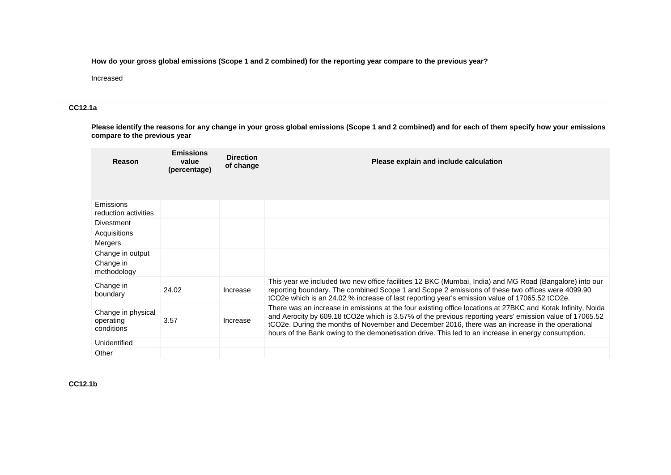**How do your gross global emissions (Scope 1 and 2 combined) for the reporting year compare to the previous year?**

Increased

## **CC12.1a**

**Please identify the reasons for any change in your gross global emissions (Scope 1 and 2 combined) and for each of them specify how your emissions compare to the previous year**

| Reason                                        | <b>Emissions</b><br>value<br>(percentage) | <b>Direction</b><br>of change | Please explain and include calculation                                                                                                                                                                                                                                                                                                                                                                                            |
|-----------------------------------------------|-------------------------------------------|-------------------------------|-----------------------------------------------------------------------------------------------------------------------------------------------------------------------------------------------------------------------------------------------------------------------------------------------------------------------------------------------------------------------------------------------------------------------------------|
| Emissions<br>reduction activities             |                                           |                               |                                                                                                                                                                                                                                                                                                                                                                                                                                   |
| <b>Divestment</b>                             |                                           |                               |                                                                                                                                                                                                                                                                                                                                                                                                                                   |
| Acquisitions                                  |                                           |                               |                                                                                                                                                                                                                                                                                                                                                                                                                                   |
| Mergers                                       |                                           |                               |                                                                                                                                                                                                                                                                                                                                                                                                                                   |
| Change in output                              |                                           |                               |                                                                                                                                                                                                                                                                                                                                                                                                                                   |
| Change in<br>methodology                      |                                           |                               |                                                                                                                                                                                                                                                                                                                                                                                                                                   |
| Change in<br>boundary                         | 24.02                                     | Increase                      | This year we included two new office facilities 12 BKC (Mumbai, India) and MG Road (Bangalore) into our<br>reporting boundary. The combined Scope 1 and Scope 2 emissions of these two offices were 4099.90<br>tCO2e which is an 24.02 % increase of last reporting year's emission value of 17065.52 tCO2e.                                                                                                                      |
| Change in physical<br>operating<br>conditions | 3.57                                      | Increase                      | There was an increase in emissions at the four existing office locations at 27BKC and Kotak Infinity, Noida<br>and Aerocity by 609.18 tCO2e which is 3.57% of the previous reporting years' emission value of 17065.52<br>tCO2e. During the months of November and December 2016, there was an increase in the operational<br>hours of the Bank owing to the demonetisation drive. This led to an increase in energy consumption. |
| Unidentified                                  |                                           |                               |                                                                                                                                                                                                                                                                                                                                                                                                                                   |
| Other                                         |                                           |                               |                                                                                                                                                                                                                                                                                                                                                                                                                                   |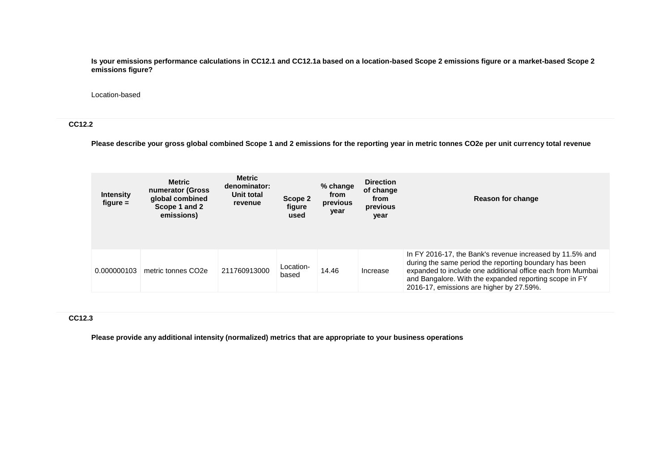**Is your emissions performance calculations in CC12.1 and CC12.1a based on a location-based Scope 2 emissions figure or a market-based Scope 2 emissions figure?**

#### Location-based

#### **CC12.2**

**Please describe your gross global combined Scope 1 and 2 emissions for the reporting year in metric tonnes CO2e per unit currency total revenue**

| <b>Intensity</b><br>figure $=$ | <b>Metric</b><br>numerator (Gross<br>global combined<br>Scope 1 and 2<br>emissions) | <b>Metric</b><br>denominator:<br>Unit total<br>revenue | Scope 2<br>figure<br>used | % change<br>from<br>previous<br>year | <b>Direction</b><br>of change<br>from<br>previous<br>year | Reason for change                                                                                                                                                                                                                                                                      |
|--------------------------------|-------------------------------------------------------------------------------------|--------------------------------------------------------|---------------------------|--------------------------------------|-----------------------------------------------------------|----------------------------------------------------------------------------------------------------------------------------------------------------------------------------------------------------------------------------------------------------------------------------------------|
| 0.000000103                    | metric tonnes CO <sub>2</sub> e                                                     | 211760913000                                           | Location-<br>based        | 14.46                                | Increase                                                  | In FY 2016-17, the Bank's revenue increased by 11.5% and<br>during the same period the reporting boundary has been<br>expanded to include one additional office each from Mumbai<br>and Bangalore. With the expanded reporting scope in FY<br>2016-17, emissions are higher by 27.59%. |

#### **CC12.3**

**Please provide any additional intensity (normalized) metrics that are appropriate to your business operations**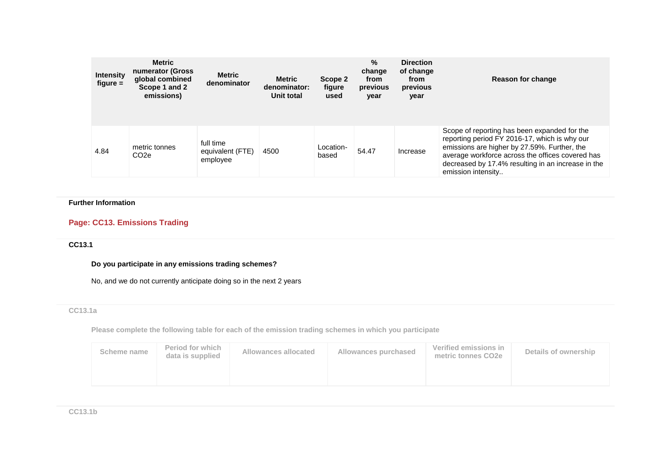| <b>Intensity</b><br>$figure =$ | <b>Metric</b><br>numerator (Gross<br>global combined<br>Scope 1 and 2<br>emissions) | <b>Metric</b><br>denominator              | <b>Metric</b><br>denominator:<br>Unit total | Scope 2<br>figure<br>used | $\%$<br>change<br>from<br>previous<br>year | <b>Direction</b><br>of change<br>from<br>previous<br>year | Reason for change                                                                                                                                                                                                                                                             |
|--------------------------------|-------------------------------------------------------------------------------------|-------------------------------------------|---------------------------------------------|---------------------------|--------------------------------------------|-----------------------------------------------------------|-------------------------------------------------------------------------------------------------------------------------------------------------------------------------------------------------------------------------------------------------------------------------------|
| 4.84                           | metric tonnes<br>CO <sub>2</sub> e                                                  | full time<br>equivalent (FTE)<br>employee | 4500                                        | Location-<br>based        | 54.47                                      | Increase                                                  | Scope of reporting has been expanded for the<br>reporting period FY 2016-17, which is why our<br>emissions are higher by 27.59%. Further, the<br>average workforce across the offices covered has<br>decreased by 17.4% resulting in an increase in the<br>emission intensity |

## **Further Information**

## **Page: CC13. Emissions Trading**

## **CC13.1**

**Do you participate in any emissions trading schemes?**

No, and we do not currently anticipate doing so in the next 2 years

## **CC13.1a**

**Please complete the following table for each of the emission trading schemes in which you participate**

| Scheme name | <b>Period for which</b><br>data is supplied | Allowances allocated | Allowances purchased | Verified emissions in<br>metric tonnes CO2e | Details of ownership |
|-------------|---------------------------------------------|----------------------|----------------------|---------------------------------------------|----------------------|
|             |                                             |                      |                      |                                             |                      |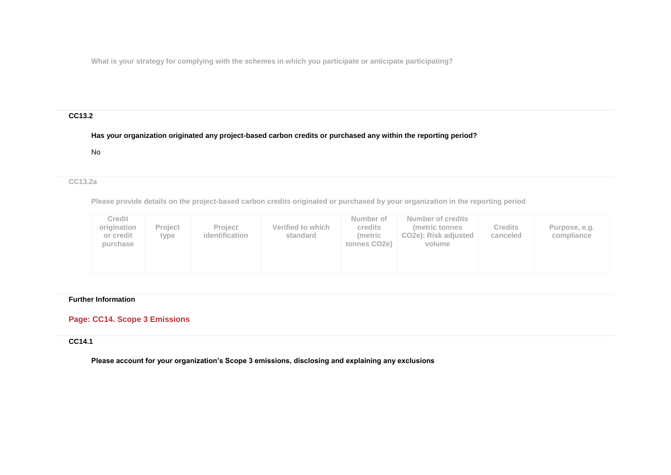**What is your strategy for complying with the schemes in which you participate or anticipate participating?**

## **CC13.2**

## **Has your organization originated any project-based carbon credits or purchased any within the reporting period?**

No

## **CC13.2a**

**Please provide details on the project-based carbon credits originated or purchased by your organization in the reporting period**

| Credit<br>origination<br>or credit<br>purchase | <b>Project</b><br>type | <b>Project</b><br>identification | Verified to which<br>standard | Number of<br><b>credits</b><br>(metric<br>tonnes CO <sub>2</sub> e) | Number of credits<br>(metric tonnes)<br>CO <sub>2</sub> e): Risk adjusted<br>volume | <b>Credits</b><br>canceled | Purpose, e.g.<br>compliance |
|------------------------------------------------|------------------------|----------------------------------|-------------------------------|---------------------------------------------------------------------|-------------------------------------------------------------------------------------|----------------------------|-----------------------------|
|------------------------------------------------|------------------------|----------------------------------|-------------------------------|---------------------------------------------------------------------|-------------------------------------------------------------------------------------|----------------------------|-----------------------------|

#### **Further Information**

## **Page: CC14. Scope 3 Emissions**

## **CC14.1**

**Please account for your organization's Scope 3 emissions, disclosing and explaining any exclusions**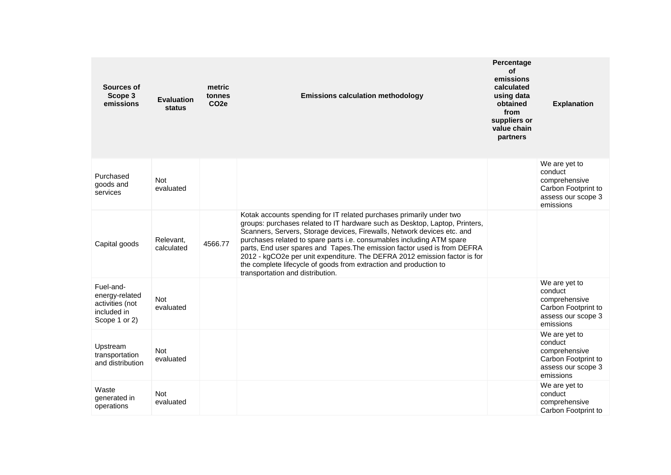| Sources of<br>Scope 3<br>emissions                                             | <b>Evaluation</b><br>status | metric<br>tonnes<br>CO <sub>2e</sub> | <b>Emissions calculation methodology</b>                                                                                                                                                                                                                                                                                                                                                                                                                                                                                                                                  | Percentage<br>οf<br>emissions<br>calculated<br>using data<br>obtained<br>from<br>suppliers or<br>value chain<br>partners | <b>Explanation</b>                                                                                  |
|--------------------------------------------------------------------------------|-----------------------------|--------------------------------------|---------------------------------------------------------------------------------------------------------------------------------------------------------------------------------------------------------------------------------------------------------------------------------------------------------------------------------------------------------------------------------------------------------------------------------------------------------------------------------------------------------------------------------------------------------------------------|--------------------------------------------------------------------------------------------------------------------------|-----------------------------------------------------------------------------------------------------|
| Purchased<br>goods and<br>services                                             | <b>Not</b><br>evaluated     |                                      |                                                                                                                                                                                                                                                                                                                                                                                                                                                                                                                                                                           |                                                                                                                          | We are yet to<br>conduct<br>comprehensive<br>Carbon Footprint to<br>assess our scope 3<br>emissions |
| Capital goods                                                                  | Relevant,<br>calculated     | 4566.77                              | Kotak accounts spending for IT related purchases primarily under two<br>groups: purchases related to IT hardware such as Desktop, Laptop, Printers,<br>Scanners, Servers, Storage devices, Firewalls, Network devices etc. and<br>purchases related to spare parts i.e. consumables including ATM spare<br>parts, End user spares and Tapes. The emission factor used is from DEFRA<br>2012 - kgCO2e per unit expenditure. The DEFRA 2012 emission factor is for<br>the complete lifecycle of goods from extraction and production to<br>transportation and distribution. |                                                                                                                          |                                                                                                     |
| Fuel-and-<br>energy-related<br>activities (not<br>included in<br>Scope 1 or 2) | <b>Not</b><br>evaluated     |                                      |                                                                                                                                                                                                                                                                                                                                                                                                                                                                                                                                                                           |                                                                                                                          | We are yet to<br>conduct<br>comprehensive<br>Carbon Footprint to<br>assess our scope 3<br>emissions |
| Upstream<br>transportation<br>and distribution                                 | <b>Not</b><br>evaluated     |                                      |                                                                                                                                                                                                                                                                                                                                                                                                                                                                                                                                                                           |                                                                                                                          | We are yet to<br>conduct<br>comprehensive<br>Carbon Footprint to<br>assess our scope 3<br>emissions |
| Waste<br>generated in<br>operations                                            | <b>Not</b><br>evaluated     |                                      |                                                                                                                                                                                                                                                                                                                                                                                                                                                                                                                                                                           |                                                                                                                          | We are yet to<br>conduct<br>comprehensive<br>Carbon Footprint to                                    |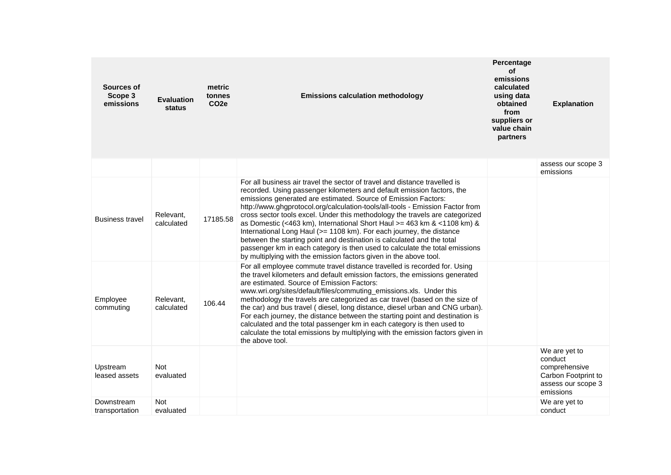| Sources of<br>Scope 3<br>emissions | <b>Evaluation</b><br>status | metric<br>tonnes<br>CO <sub>2e</sub> | <b>Emissions calculation methodology</b>                                                                                                                                                                                                                                                                                                                                                                                                                                                                                                                                                                                                                                                                                                                                  | Percentage<br>οf<br>emissions<br>calculated<br>using data<br>obtained<br>from<br>suppliers or<br>value chain<br>partners | <b>Explanation</b>                                                                                  |
|------------------------------------|-----------------------------|--------------------------------------|---------------------------------------------------------------------------------------------------------------------------------------------------------------------------------------------------------------------------------------------------------------------------------------------------------------------------------------------------------------------------------------------------------------------------------------------------------------------------------------------------------------------------------------------------------------------------------------------------------------------------------------------------------------------------------------------------------------------------------------------------------------------------|--------------------------------------------------------------------------------------------------------------------------|-----------------------------------------------------------------------------------------------------|
|                                    |                             |                                      |                                                                                                                                                                                                                                                                                                                                                                                                                                                                                                                                                                                                                                                                                                                                                                           |                                                                                                                          | assess our scope 3<br>emissions                                                                     |
| <b>Business travel</b>             | Relevant,<br>calculated     | 17185.58                             | For all business air travel the sector of travel and distance travelled is<br>recorded. Using passenger kilometers and default emission factors, the<br>emissions generated are estimated. Source of Emission Factors:<br>http://www.ghgprotocol.org/calculation-tools/all-tools - Emission Factor from<br>cross sector tools excel. Under this methodology the travels are categorized<br>as Domestic (<463 km), International Short Haul > = 463 km & <1108 km) &<br>International Long Haul (>= 1108 km). For each journey, the distance<br>between the starting point and destination is calculated and the total<br>passenger km in each category is then used to calculate the total emissions<br>by multiplying with the emission factors given in the above tool. |                                                                                                                          |                                                                                                     |
| Employee<br>commuting              | Relevant,<br>calculated     | 106.44                               | For all employee commute travel distance travelled is recorded for. Using<br>the travel kilometers and default emission factors, the emissions generated<br>are estimated. Source of Emission Factors:<br>www.wri.org/sites/default/files/commuting_emissions.xls. Under this<br>methodology the travels are categorized as car travel (based on the size of<br>the car) and bus travel (diesel, long distance, diesel urban and CNG urban).<br>For each journey, the distance between the starting point and destination is<br>calculated and the total passenger km in each category is then used to<br>calculate the total emissions by multiplying with the emission factors given in<br>the above tool.                                                              |                                                                                                                          |                                                                                                     |
| Upstream<br>leased assets          | Not<br>evaluated            |                                      |                                                                                                                                                                                                                                                                                                                                                                                                                                                                                                                                                                                                                                                                                                                                                                           |                                                                                                                          | We are yet to<br>conduct<br>comprehensive<br>Carbon Footprint to<br>assess our scope 3<br>emissions |
| Downstream<br>transportation       | <b>Not</b><br>evaluated     |                                      |                                                                                                                                                                                                                                                                                                                                                                                                                                                                                                                                                                                                                                                                                                                                                                           |                                                                                                                          | We are yet to<br>conduct                                                                            |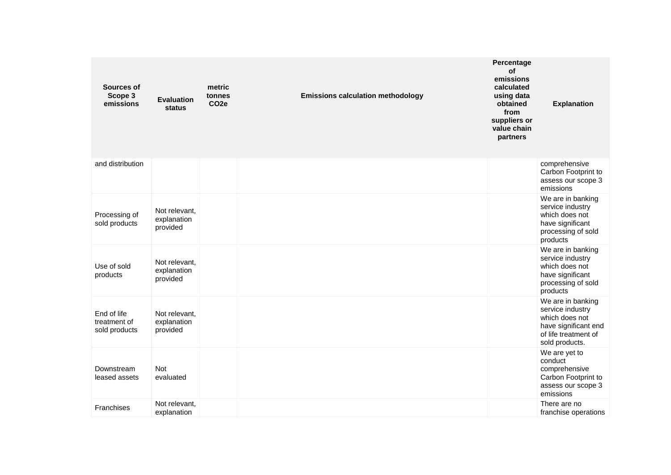| Sources of<br>Scope 3<br>emissions           | <b>Evaluation</b><br>status              | metric<br>tonnes<br>CO <sub>2e</sub> | <b>Emissions calculation methodology</b> | Percentage<br><b>of</b><br>emissions<br>calculated<br>using data<br>obtained<br>from<br>suppliers or<br>value chain<br>partners | <b>Explanation</b>                                                                                                        |
|----------------------------------------------|------------------------------------------|--------------------------------------|------------------------------------------|---------------------------------------------------------------------------------------------------------------------------------|---------------------------------------------------------------------------------------------------------------------------|
| and distribution                             |                                          |                                      |                                          |                                                                                                                                 | comprehensive<br>Carbon Footprint to<br>assess our scope 3<br>emissions                                                   |
| Processing of<br>sold products               | Not relevant,<br>explanation<br>provided |                                      |                                          |                                                                                                                                 | We are in banking<br>service industry<br>which does not<br>have significant<br>processing of sold<br>products             |
| Use of sold<br>products                      | Not relevant,<br>explanation<br>provided |                                      |                                          |                                                                                                                                 | We are in banking<br>service industry<br>which does not<br>have significant<br>processing of sold<br>products             |
| End of life<br>treatment of<br>sold products | Not relevant,<br>explanation<br>provided |                                      |                                          |                                                                                                                                 | We are in banking<br>service industry<br>which does not<br>have significant end<br>of life treatment of<br>sold products. |
| Downstream<br>leased assets                  | Not<br>evaluated                         |                                      |                                          |                                                                                                                                 | We are yet to<br>conduct<br>comprehensive<br>Carbon Footprint to<br>assess our scope 3<br>emissions                       |
| <b>Franchises</b>                            | Not relevant,<br>explanation             |                                      |                                          |                                                                                                                                 | There are no<br>franchise operations                                                                                      |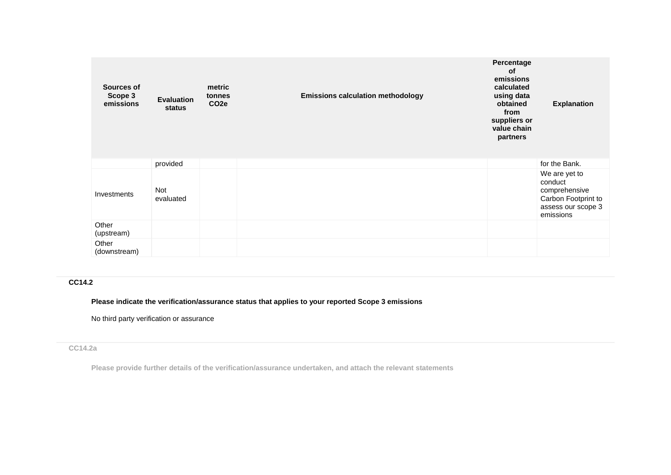| Sources of<br>Scope 3<br>emissions | <b>Evaluation</b><br>status | metric<br>tonnes<br>CO <sub>2e</sub> | <b>Emissions calculation methodology</b> | Percentage<br>of<br>emissions<br>calculated<br>using data<br>obtained<br>from<br>suppliers or<br>value chain<br>partners | <b>Explanation</b>                                                                                  |
|------------------------------------|-----------------------------|--------------------------------------|------------------------------------------|--------------------------------------------------------------------------------------------------------------------------|-----------------------------------------------------------------------------------------------------|
|                                    | provided                    |                                      |                                          |                                                                                                                          | for the Bank.                                                                                       |
| Investments                        | Not<br>evaluated            |                                      |                                          |                                                                                                                          | We are yet to<br>conduct<br>comprehensive<br>Carbon Footprint to<br>assess our scope 3<br>emissions |
| Other<br>(upstream)                |                             |                                      |                                          |                                                                                                                          |                                                                                                     |
| Other<br>(downstream)              |                             |                                      |                                          |                                                                                                                          |                                                                                                     |

## **CC14.2**

**Please indicate the verification/assurance status that applies to your reported Scope 3 emissions**

No third party verification or assurance

## **CC14.2a**

**Please provide further details of the verification/assurance undertaken, and attach the relevant statements**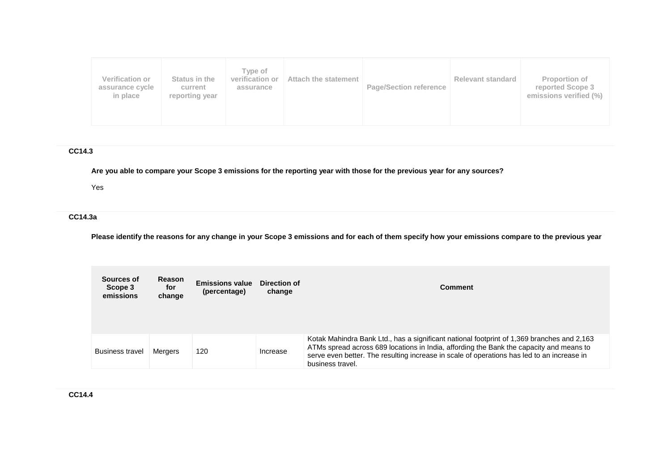| Type of<br>Verification or<br>verification or<br>Status in the<br>Attach the statement<br>assurance cycle<br>current<br>assurance<br>in place<br>reporting year | <b>Page/Section reference</b> | <b>Relevant standard</b> | <b>Proportion of</b><br>reported Scope 3<br>emissions verified (%) |
|-----------------------------------------------------------------------------------------------------------------------------------------------------------------|-------------------------------|--------------------------|--------------------------------------------------------------------|
|-----------------------------------------------------------------------------------------------------------------------------------------------------------------|-------------------------------|--------------------------|--------------------------------------------------------------------|

## **CC14.3**

**Are you able to compare your Scope 3 emissions for the reporting year with those for the previous year for any sources?**

Yes

## **CC14.3a**

**Please identify the reasons for any change in your Scope 3 emissions and for each of them specify how your emissions compare to the previous year**

| Sources of<br>Scope 3<br>emissions | <b>Reason</b><br>for<br>change | <b>Emissions value</b><br>(percentage) | Direction of<br>change | <b>Comment</b>                                                                                                                                                                                                                                                                                          |
|------------------------------------|--------------------------------|----------------------------------------|------------------------|---------------------------------------------------------------------------------------------------------------------------------------------------------------------------------------------------------------------------------------------------------------------------------------------------------|
| <b>Business travel</b>             | Mergers                        | 120                                    | Increase               | Kotak Mahindra Bank Ltd., has a significant national footprint of 1,369 branches and 2,163<br>ATMs spread across 689 locations in India, affording the Bank the capacity and means to<br>serve even better. The resulting increase in scale of operations has led to an increase in<br>business travel. |

**CC14.4**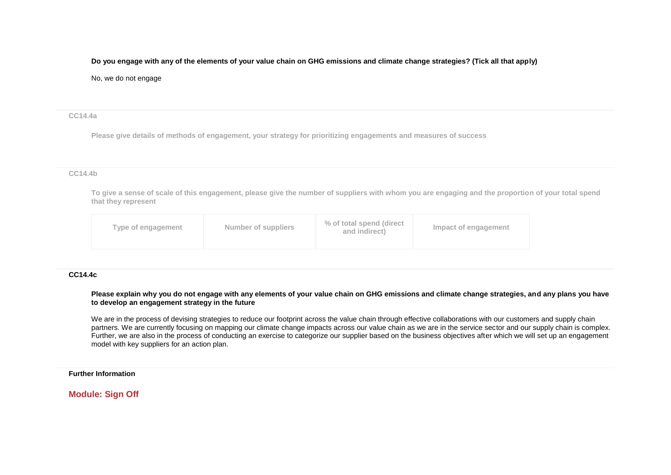#### **Do you engage with any of the elements of your value chain on GHG emissions and climate change strategies? (Tick all that apply)**

#### No, we do not engage

#### **CC14.4a**

**Please give details of methods of engagement, your strategy for prioritizing engagements and measures of success**

#### **CC14.4b**

**To give a sense of scale of this engagement, please give the number of suppliers with whom you are engaging and the proportion of your total spend that they represent**

| Type of engagement | Number of suppliers | % of total spend (direct<br>and indirect) | Impact of engagement |
|--------------------|---------------------|-------------------------------------------|----------------------|
|                    |                     |                                           |                      |

#### **CC14.4c**

**Please explain why you do not engage with any elements of your value chain on GHG emissions and climate change strategies, and any plans you have to develop an engagement strategy in the future**

We are in the process of devising strategies to reduce our footprint across the value chain through effective collaborations with our customers and supply chain partners. We are currently focusing on mapping our climate change impacts across our value chain as we are in the service sector and our supply chain is complex. Further, we are also in the process of conducting an exercise to categorize our supplier based on the business objectives after which we will set up an engagement model with key suppliers for an action plan.

#### **Further Information**

## **Module: Sign Off**